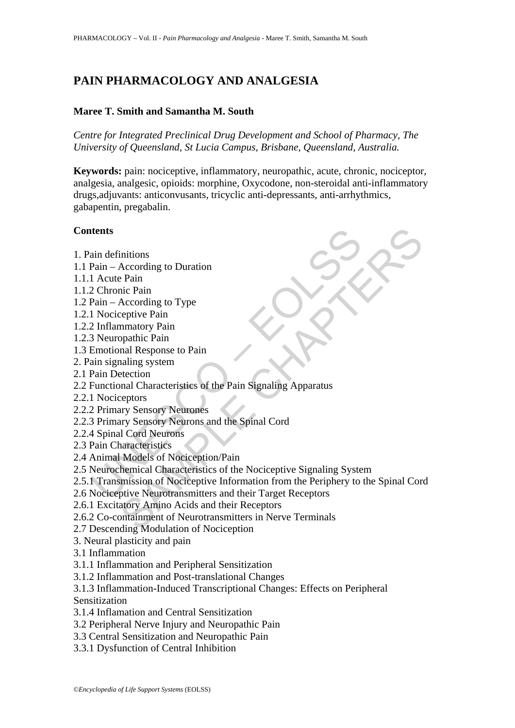# **PAIN PHARMACOLOGY AND ANALGESIA**

### **Maree T. Smith and Samantha M. South**

*Centre for Integrated Preclinical Drug Development and School of Pharmacy, The University of Queensland, St Lucia Campus, Brisbane, Queensland, Australia.* 

**Keywords:** pain: nociceptive, inflammatory, neuropathic, acute, chronic, nociceptor, analgesia, analgesic, opioids: morphine, Oxycodone, non-steroidal anti-inflammatory drugs,adjuvants: anticonvusants, tricyclic anti-depressants, anti-arrhythmics, gabapentin, pregabalin.

#### **Contents**

- 1. Pain definitions
- 1.1 Pain According to Duration
- 1.1.1 Acute Pain
- 1.1.2 Chronic Pain
- 1.2 Pain According to Type
- 1.2.1 Nociceptive Pain
- 1.2.2 Inflammatory Pain
- 1.2.3 Neuropathic Pain
- 1.3 Emotional Response to Pain
- 2. Pain signaling system
- 2.1 Pain Detection
- 2.2 Functional Characteristics of the Pain Signaling Apparatus
- 2.2.1 Nociceptors
- 2.2.2 Primary Sensory Neurones
- 2.2.3 Primary Sensory Neurons and the Spinal Cord
- 2.2.4 Spinal Cord Neurons
- 2.3 Pain Characteristics
- 2.4 Animal Models of Nociception/Pain
- **thents**<br>
ain definitions<br>
Pain According to Duration<br>
1 Acute Pain<br>
2 Chronic Pain<br>
2 Chronic Pain<br>
2 Chronic Pain<br>
2 Chronic Pain<br>
2 Chronic Pain<br>
2 Chronic Pain<br>
2 Chronic Pain<br>
3 Neuropathic Pain<br>
3 Neuropathic Pain<br> 2.5 Neurochemical Characteristics of the Nociceptive Signaling System
- initions<br>
According to Duration<br>
Pean<br>
According to Type<br>
According to Type<br>
applite Pain<br>
manaloppatic Pain<br>
manal Response to Pain<br>
manal Response to Pain<br>
manal Characteristies of the Pain Signaling Apparatus<br>
reptiors<br> 2.5.1 Transmission of Nociceptive Information from the Periphery to the Spinal Cord
- 2.6 Nociceptive Neurotransmitters and their Target Receptors
- 2.6.1 Excitatory Amino Acids and their Receptors
- 2.6.2 Co-containment of Neurotransmitters in Nerve Terminals
- 2.7 Descending Modulation of Nociception
- 3. Neural plasticity and pain
- 3.1 Inflammation
- 3.1.1 Inflammation and Peripheral Sensitization
- 3.1.2 Inflammation and Post-translational Changes
- 3.1.3 Inflammation-Induced Transcriptional Changes: Effects on Peripheral Sensitization
- 3.1.4 Inflamation and Central Sensitization
- 3.2 Peripheral Nerve Injury and Neuropathic Pain
- 3.3 Central Sensitization and Neuropathic Pain
- 3.3.1 Dysfunction of Central Inhibition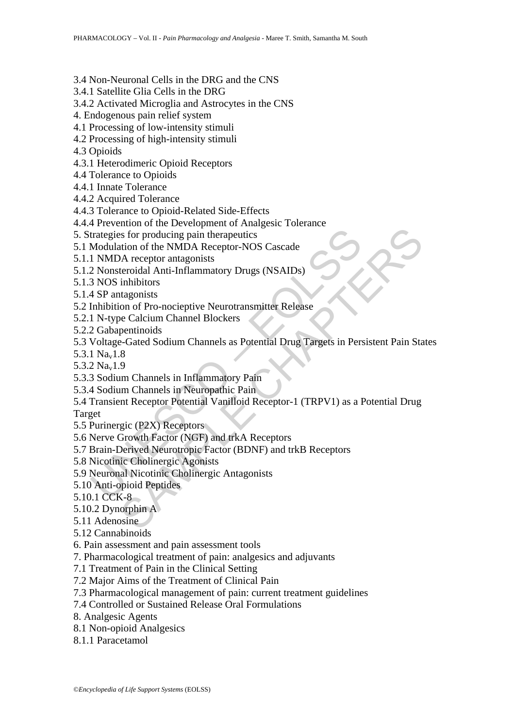- 3.4 Non-Neuronal Cells in the DRG and the CNS
- 3.4.1 Satellite Glia Cells in the DRG
- 3.4.2 Activated Microglia and Astrocytes in the CNS
- 4. Endogenous pain relief system
- 4.1 Processing of low-intensity stimuli
- 4.2 Processing of high-intensity stimuli

4.3 Opioids

- 4.3.1 Heterodimeric Opioid Receptors
- 4.4 Tolerance to Opioids
- 4.4.1 Innate Tolerance
- 4.4.2 Acquired Tolerance
- 4.4.3 Tolerance to Opioid-Related Side-Effects
- 4.4.4 Prevention of the Development of Analgesic Tolerance
- 5. Strategies for producing pain therapeutics
- 5.1 Modulation of the NMDA Receptor-NOS Cascade
- 5.1.1 NMDA receptor antagonists
- 5.1.2 Nonsteroidal Anti-Inflammatory Drugs (NSAIDs)
- 5.1.3 NOS inhibitors
- 5.1.4 SP antagonists
- 5.2 Inhibition of Pro-nocieptive Neurotransmitter Release
- 5.2.1 N-type Calcium Channel Blockers
- 5.2.2 Gabapentinoids
- 5.3 Voltage-Gated Sodium Channels as Potential Drug Targets in Persistent Pain States
- 5.3.1 Nav1.8
- 5.3.2 Nav1.9
- 5.3.3 Sodium Channels in Inflammatory Pain
- 5.3.4 Sodium Channels in Neuropathic Pain
- trategies for producing pain therapeutics<br>
Modulation of the NMDA Receptor-NOS Cascade<br>
1 NMDA receptor antagonists<br>
2 Nonsteroidal Anti-Inflammatory Drugs (NSAIDs)<br>
3 NOS inhibition<br>
4 SP antagonists<br>
4 SP antagonists<br>
1 So for producing pain therapeutics<br>
So for producing pain therapeutics<br>
A receptor antagonists<br>
A receptor antagonists<br>
A receptor antagonists<br>
teroidal Anti-Inflammatory Drugs (NSAIDs)<br>
inhibitors<br>
atagonists<br>
are Calcium 5.4 Transient Receptor Potential Vanilloid Receptor-1 (TRPV1) as a Potential Drug Target
- 5.5 Purinergic (P2X) Receptors
- 5.6 Nerve Growth Factor (NGF) and trkA Receptors
- 5.7 Brain-Derived Neurotropic Factor (BDNF) and trkB Receptors
- 5.8 Nicotinic Cholinergic Agonists
- 5.9 Neuronal Nicotinic Cholinergic Antagonists
- 5.10 Anti-opioid Peptides
- 5.10.1 CCK-8
- 5.10.2 Dynorphin A
- 5.11 Adenosine
- 5.12 Cannabinoids
- 6. Pain assessment and pain assessment tools
- 7. Pharmacological treatment of pain: analgesics and adjuvants
- 7.1 Treatment of Pain in the Clinical Setting
- 7.2 Major Aims of the Treatment of Clinical Pain
- 7.3 Pharmacological management of pain: current treatment guidelines
- 7.4 Controlled or Sustained Release Oral Formulations
- 8. Analgesic Agents
- 8.1 Non-opioid Analgesics
- 8.1.1 Paracetamol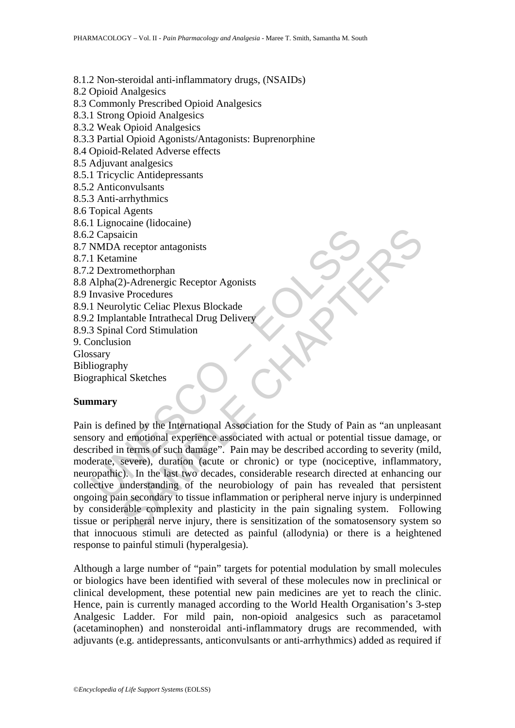8.1.2 Non-steroidal anti-inflammatory drugs, (NSAIDs)

8.2 Opioid Analgesics

8.3 Commonly Prescribed Opioid Analgesics

8.3.1 Strong Opioid Analgesics

8.3.2 Weak Opioid Analgesics

8.3.3 Partial Opioid Agonists/Antagonists: Buprenorphine

8.4 Opioid-Related Adverse effects

8.5 Adjuvant analgesics

8.5.1 Tricyclic Antidepressants

8.5.2 Anticonvulsants

8.5.3 Anti-arrhythmics

8.6 Topical Agents

8.6.1 Lignocaine (lidocaine)

- 8.6.2 Capsaicin
- 8.7 NMDA receptor antagonists

8.7.1 Ketamine

8.7.2 Dextromethorphan

8.8 Alpha(2)-Adrenergic Receptor Agonists

8.9 Invasive Procedures

8.9.1 Neurolytic Celiac Plexus Blockade

8.9.2 Implantable Intrathecal Drug Delivery

8.9.3 Spinal Cord Stimulation

9. Conclusion

Glossary

Bibliography

Biographical Sketches

# **Summary**

2 Capsaicin<br>
NMDA receptor antagonists<br>
1 Ketamine<br>
1 Ketamine<br>
2 Dextromethorphan<br>
Alpha(2)-Adrenergic Receptor Agonists<br>
Invasive Procedures<br>
1 Neurolytic Celiac Plexus Blockade<br>
2 Implantable Intrathecal Drug Delivery<br> The completion and provides in the sum of the sometion of the system.<br>
The complete chapter and the international Association for the Study of Pain as "an unplead emotional experience associated with actual or potential ti Pain is defined by the International Association for the Study of Pain as "an unpleasant sensory and emotional experience associated with actual or potential tissue damage, or described in terms of such damage". Pain may be described according to severity (mild, moderate, severe), duration (acute or chronic) or type (nociceptive, inflammatory, neuropathic). In the last two decades, considerable research directed at enhancing our collective understanding of the neurobiology of pain has revealed that persistent ongoing pain secondary to tissue inflammation or peripheral nerve injury is underpinned by considerable complexity and plasticity in the pain signaling system. Following tissue or peripheral nerve injury, there is sensitization of the somatosensory system so that innocuous stimuli are detected as painful (allodynia) or there is a heightened response to painful stimuli (hyperalgesia).

Although a large number of "pain" targets for potential modulation by small molecules or biologics have been identified with several of these molecules now in preclinical or clinical development, these potential new pain medicines are yet to reach the clinic. Hence, pain is currently managed according to the World Health Organisation's 3-step Analgesic Ladder. For mild pain, non-opioid analgesics such as paracetamol (acetaminophen) and nonsteroidal anti-inflammatory drugs are recommended, with adjuvants (e.g. antidepressants, anticonvulsants or anti-arrhythmics) added as required if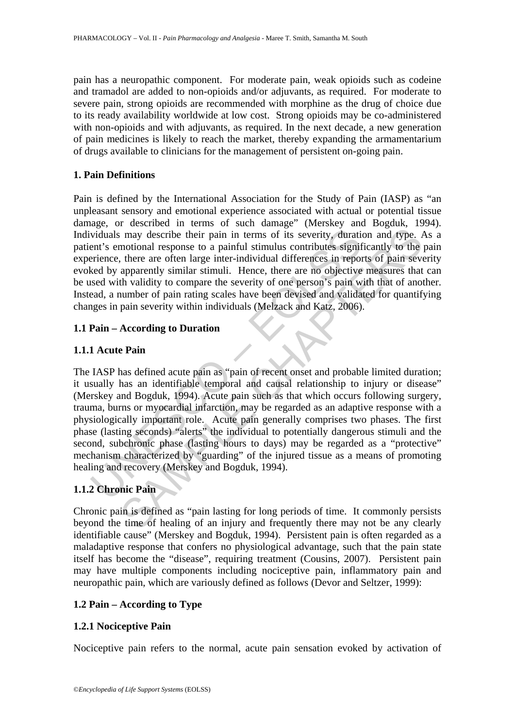pain has a neuropathic component. For moderate pain, weak opioids such as codeine and tramadol are added to non-opioids and/or adjuvants, as required. For moderate to severe pain, strong opioids are recommended with morphine as the drug of choice due to its ready availability worldwide at low cost. Strong opioids may be co-administered with non-opioids and with adjuvants, as required. In the next decade, a new generation of pain medicines is likely to reach the market, thereby expanding the armamentarium of drugs available to clinicians for the management of persistent on-going pain.

# **1. Pain Definitions**

Pain is defined by the International Association for the Study of Pain (IASP) as "an unpleasant sensory and emotional experience associated with actual or potential tissue damage, or described in terms of such damage" (Merskey and Bogduk, 1994). Individuals may describe their pain in terms of its severity, duration and type. As a patient's emotional response to a painful stimulus contributes significantly to the pain experience, there are often large inter-individual differences in reports of pain severity evoked by apparently similar stimuli. Hence, there are no objective measures that can be used with validity to compare the severity of one person's pain with that of another. Instead, a number of pain rating scales have been devised and validated for quantifying changes in pain severity within individuals (Melzack and Katz, 2006).

# **1.1 Pain – According to Duration**

# **1.1.1 Acute Pain**

viduals may describe their pain in terms of its severity, duration to is entirely a painful simulate ent's emotional response to a painful stimulus contributes signifiarience, there are often large inter-individual differe In may describe their pain in terms of its severity, duration and type. *I*<br>motional response to a painful stimulus contributes significantly to the<br>there are often large inter-individual differences in reports of pain sev The IASP has defined acute pain as "pain of recent onset and probable limited duration; it usually has an identifiable temporal and causal relationship to injury or disease" (Merskey and Bogduk, 1994). Acute pain such as that which occurs following surgery, trauma, burns or myocardial infarction, may be regarded as an adaptive response with a physiologically important role. Acute pain generally comprises two phases. The first phase (lasting seconds) "alerts" the individual to potentially dangerous stimuli and the second, subchronic phase (lasting hours to days) may be regarded as a "protective" mechanism characterized by "guarding" of the injured tissue as a means of promoting healing and recovery (Merskey and Bogduk, 1994).

# **1.1.2 Chronic Pain**

Chronic pain is defined as "pain lasting for long periods of time. It commonly persists beyond the time of healing of an injury and frequently there may not be any clearly identifiable cause" (Merskey and Bogduk, 1994). Persistent pain is often regarded as a maladaptive response that confers no physiological advantage, such that the pain state itself has become the "disease", requiring treatment (Cousins, 2007). Persistent pain may have multiple components including nociceptive pain, inflammatory pain and neuropathic pain, which are variously defined as follows (Devor and Seltzer, 1999):

# **1.2 Pain – According to Type**

# **1.2.1 Nociceptive Pain**

Nociceptive pain refers to the normal, acute pain sensation evoked by activation of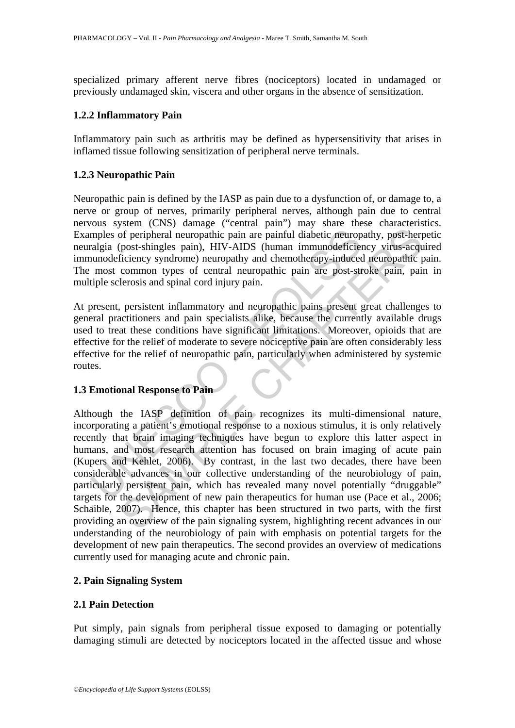specialized primary afferent nerve fibres (nociceptors) located in undamaged or previously undamaged skin, viscera and other organs in the absence of sensitization.

#### **1.2.2 Inflammatory Pain**

Inflammatory pain such as arthritis may be defined as hypersensitivity that arises in inflamed tissue following sensitization of peripheral nerve terminals.

#### **1.2.3 Neuropathic Pain**

Neuropathic pain is defined by the IASP as pain due to a dysfunction of, or damage to, a nerve or group of nerves, primarily peripheral nerves, although pain due to central nervous system (CNS) damage ("central pain") may share these characteristics. Examples of peripheral neuropathic pain are painful diabetic neuropathy, post-herpetic neuralgia (post-shingles pain), HIV-AIDS (human immunodeficiency virus-acquired immunodeficiency syndrome) neuropathy and chemotherapy-induced neuropathic pain. The most common types of central neuropathic pain are post-stroke pain, pain in multiple sclerosis and spinal cord injury pain.

At present, persistent inflammatory and neuropathic pains present great challenges to general practitioners and pain specialists alike, because the currently available drugs used to treat these conditions have significant limitations. Moreover, opioids that are effective for the relief of moderate to severe nociceptive pain are often considerably less effective for the relief of neuropathic pain, particularly when administered by systemic routes.

# **1.3 Emotional Response to Pain**

mples of peripheral neuropathic pain are painful diabetic neurop-<br>anglia (post-shingles pain), HIV-AIDS (human immunodeficiee<br>nunodeficiency syndrome) neuropathy and chemotherapy-induced<br>most common types of central neurop of peripheral neuropathic pain are painful diabetic neuropathy, post-herr<br>post-shingles pain), HIV-AIDS (human immunodeficiency virus-acquered incorporation) syndman immunodeficiency virus-acquered incomponent and conditio Although the IASP definition of pain recognizes its multi-dimensional nature, incorporating a patient's emotional response to a noxious stimulus, it is only relatively recently that brain imaging techniques have begun to explore this latter aspect in humans, and most research attention has focused on brain imaging of acute pain (Kupers and Kehlet, 2006). By contrast, in the last two decades, there have been considerable advances in our collective understanding of the neurobiology of pain, particularly persistent pain, which has revealed many novel potentially "druggable" targets for the development of new pain therapeutics for human use (Pace et al., 2006; Schaible, 2007). Hence, this chapter has been structured in two parts, with the first providing an overview of the pain signaling system, highlighting recent advances in our understanding of the neurobiology of pain with emphasis on potential targets for the development of new pain therapeutics. The second provides an overview of medications currently used for managing acute and chronic pain.

# **2. Pain Signaling System**

#### **2.1 Pain Detection**

Put simply, pain signals from peripheral tissue exposed to damaging or potentially damaging stimuli are detected by nociceptors located in the affected tissue and whose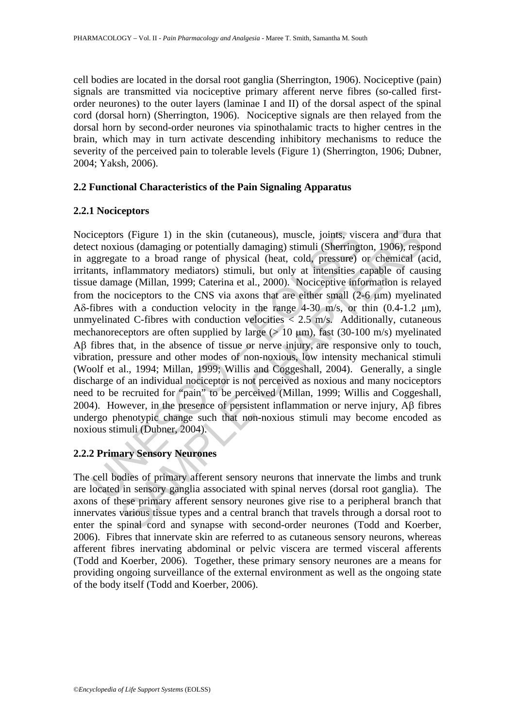cell bodies are located in the dorsal root ganglia (Sherrington, 1906). Nociceptive (pain) signals are transmitted via nociceptive primary afferent nerve fibres (so-called firstorder neurones) to the outer layers (laminae I and II) of the dorsal aspect of the spinal cord (dorsal horn) (Sherrington, 1906). Nociceptive signals are then relayed from the dorsal horn by second-order neurones via spinothalamic tracts to higher centres in the brain, which may in turn activate descending inhibitory mechanisms to reduce the severity of the perceived pain to tolerable levels (Figure 1) (Sherrington, 1906; Dubner, 2004; Yaksh, 2006).

#### **2.2 Functional Characteristics of the Pain Signaling Apparatus**

#### **2.2.1 Nociceptors**

iceptors (Figure 1) in the skin (cutaneous), muscle, joints, visc<br>
ct noxious (damaging or potentially damaging) stimuli (Sherringt<br>
ggregate to a broad range of physical (heat, cold, pressure)<br>
ants, inflammatory mediato s (Figure 1) in the skin (cutaneous), muscle, joints, viscera and dura<br>ous (damaging or potentially damaging) stimuli (Sherrington, 1906), resp<br>te to a broad range of physical (heat, cold, pressure) or chemined (i<br>flammato Nociceptors (Figure 1) in the skin (cutaneous), muscle, joints, viscera and dura that detect noxious (damaging or potentially damaging) stimuli (Sherrington, 1906), respond in aggregate to a broad range of physical (heat, cold, pressure) or chemical (acid, irritants, inflammatory mediators) stimuli, but only at intensities capable of causing tissue damage (Millan, 1999; Caterina et al., 2000). Nociceptive information is relayed from the nociceptors to the CNS via axons that are either small (2-6 μm) myelinated Aδ-fibres with a conduction velocity in the range  $4-30$  m/s, or thin  $(0.4-1.2 \text{ µm})$ , unmyelinated C-fibres with conduction velocities  $\langle 2.5 \text{ m/s.} \rangle$  Additionally, cutaneous mechanoreceptors are often supplied by large ( $> 10 \mu m$ ), fast (30-100 m/s) myelinated Aβ fibres that, in the absence of tissue or nerve injury, are responsive only to touch, vibration, pressure and other modes of non-noxious, low intensity mechanical stimuli (Woolf et al., 1994; Millan, 1999; Willis and Coggeshall, 2004). Generally, a single discharge of an individual nociceptor is not perceived as noxious and many nociceptors need to be recruited for "pain" to be perceived (Millan, 1999; Willis and Coggeshall, 2004). However, in the presence of persistent inflammation or nerve injury, Aβ fibres undergo phenotypic change such that non-noxious stimuli may become encoded as noxious stimuli (Dubner, 2004).

# **2.2.2 Primary Sensory Neurones**

The cell bodies of primary afferent sensory neurons that innervate the limbs and trunk are located in sensory ganglia associated with spinal nerves (dorsal root ganglia). The axons of these primary afferent sensory neurones give rise to a peripheral branch that innervates various tissue types and a central branch that travels through a dorsal root to enter the spinal cord and synapse with second-order neurones (Todd and Koerber, 2006). Fibres that innervate skin are referred to as cutaneous sensory neurons, whereas afferent fibres inervating abdominal or pelvic viscera are termed visceral afferents (Todd and Koerber, 2006). Together, these primary sensory neurones are a means for providing ongoing surveillance of the external environment as well as the ongoing state of the body itself (Todd and Koerber, 2006).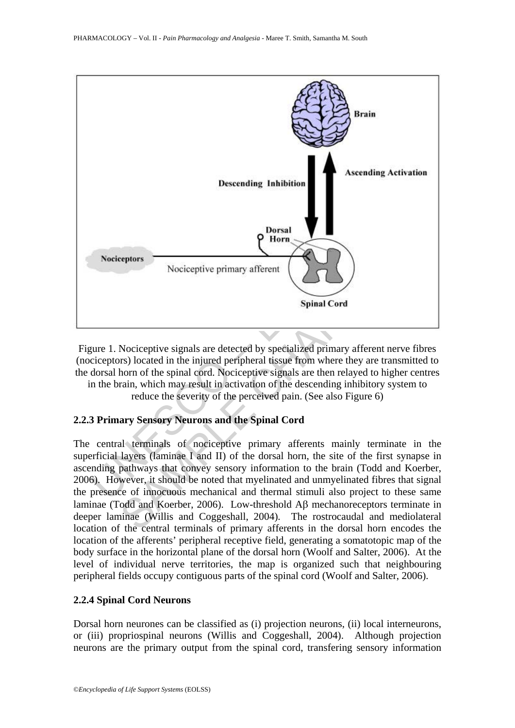

Figure 1. Nociceptive signals are detected by specialized primary afferent nerve fibres (nociceptors) located in the injured peripheral tissue from where they are transmitted to the dorsal horn of the spinal cord. Nociceptive signals are then relayed to higher centres in the brain, which may result in activation of the descending inhibitory system to

reduce the severity of the perceived pain. (See also Figure 6)

# **2.2.3 Primary Sensory Neurons and the Spinal Cord**

The central terminals of nociceptive primary afferents mainly terminate in the superficial layers (laminae I and II) of the dorsal horn, the site of the first synapse in ascending pathways that convey sensory information to the brain (Todd and Koerber, 2006). However, it should be noted that myelinated and unmyelinated fibres that signal the presence of innocuous mechanical and thermal stimuli also project to these same laminae (Todd and Koerber, 2006). Low-threshold Aβ mechanoreceptors terminate in deeper laminae (Willis and Coggeshall, 2004). The rostrocaudal and mediolateral location of the central terminals of primary afferents in the dorsal horn encodes the location of the afferents' peripheral receptive field, generating a somatotopic map of the body surface in the horizontal plane of the dorsal horn (Woolf and Salter, 2006). At the level of individual nerve territories, the map is organized such that neighbouring peripheral fields occupy contiguous parts of the spinal cord (Woolf and Salter, 2006).

# **2.2.4 Spinal Cord Neurons**

Dorsal horn neurones can be classified as (i) projection neurons, (ii) local interneurons, or (iii) propriospinal neurons (Willis and Coggeshall, 2004). Although projection neurons are the primary output from the spinal cord, transfering sensory information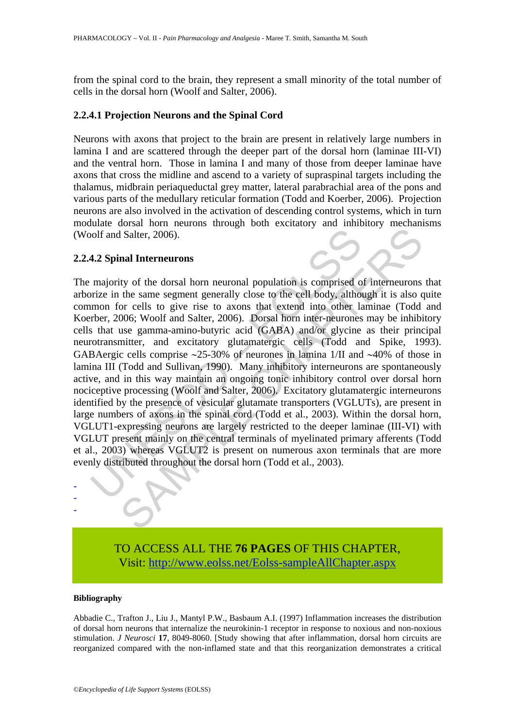from the spinal cord to the brain, they represent a small minority of the total number of cells in the dorsal horn (Woolf and Salter, 2006).

#### **2.2.4.1 Projection Neurons and the Spinal Cord**

Neurons with axons that project to the brain are present in relatively large numbers in lamina I and are scattered through the deeper part of the dorsal horn (laminae III-VI) and the ventral horn. Those in lamina I and many of those from deeper laminae have axons that cross the midline and ascend to a variety of supraspinal targets including the thalamus, midbrain periaqueductal grey matter, lateral parabrachial area of the pons and various parts of the medullary reticular formation (Todd and Koerber, 2006). Projection neurons are also involved in the activation of descending control systems, which in turn modulate dorsal horn neurons through both excitatory and inhibitory mechanisms (Woolf and Salter, 2006).

#### **2.2.4.2 Spinal Interneurons**

volf and Salter, 2006).<br> **4.2 Spinal Interneurons**<br>
majority of the dorsal horn neuronal population is comprised o<br>
mizing in the same segment generally close to the eell body, althou<br>
mon for cells to give rise to axons t I Salter, 2006).<br> **SAMPLE CONTEXT AND THE CONSTANT CONTEX CONTEX CONTEX CONTEX CONTEX CONTEX CONTEX CONTENT (SOMET SAMPLE CONTENT AND CONTENT AND CONTENT AND CONTENT (SOME paramma-amino-butyric acid (GABA) and/or glycine a** The majority of the dorsal horn neuronal population is comprised of interneurons that arborize in the same segment generally close to the cell body, although it is also quite common for cells to give rise to axons that extend into other laminae (Todd and Koerber, 2006; Woolf and Salter, 2006). Dorsal horn inter-neurones may be inhibitory cells that use gamma-amino-butyric acid (GABA) and/or glycine as their principal neurotransmitter, and excitatory glutamatergic cells (Todd and Spike, 1993). GABAergic cells comprise ∼25-30% of neurones in lamina 1/II and ∼40% of those in lamina III (Todd and Sullivan, 1990). Many inhibitory interneurons are spontaneously active, and in this way maintain an ongoing tonic inhibitory control over dorsal horn nociceptive processing (Woolf and Salter, 2006). Excitatory glutamatergic interneurons identified by the presence of vesicular glutamate transporters (VGLUTs), are present in large numbers of axons in the spinal cord (Todd et al., 2003). Within the dorsal horn, VGLUT1-expressing neurons are largely restricted to the deeper laminae (III-VI) with VGLUT present mainly on the central terminals of myelinated primary afferents (Todd et al., 2003) whereas VGLUT2 is present on numerous axon terminals that are more evenly distributed throughout the dorsal horn (Todd et al., 2003).



#### **Bibliography**

- - -

Abbadie C., Trafton J., Liu J., Mantyl P.W., Basbaum A.I. (1997) Inflammation increases the distribution of dorsal horn neurons that internalize the neurokinin-1 receptor in response to noxious and non-noxious stimulation. *J Neurosci* **17**, 8049-8060. [Study showing that after inflammation, dorsal horn circuits are reorganized compared with the non-inflamed state and that this reorganization demonstrates a critical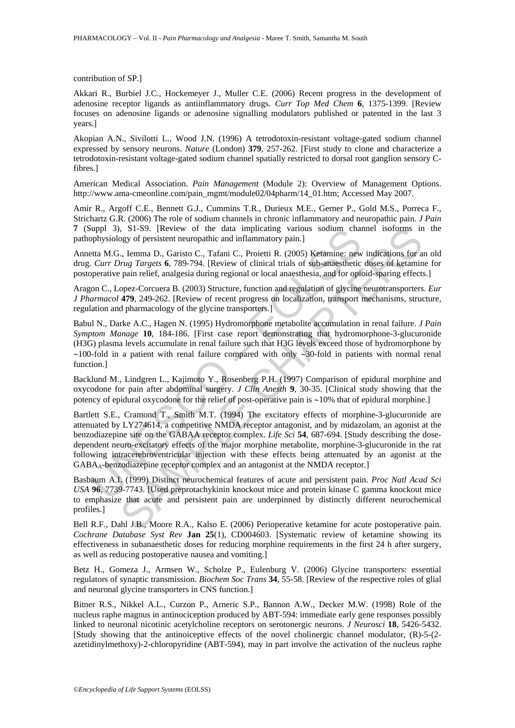contribution of SP.]

Akkari R., Burbiel J.C., Hockemeyer J., Muller C.E. (2006) Recent progress in the development of adenosine receptor ligands as antiinflammatory drugs. *Curr Top Med Chem* **6**, 1375-1399. [Review focuses on adenosine ligands or adenosine signalling modulators published or patented in the last 3 years.]

Akopian A.N., Sivilotti L., Wood J.N. (1996) A tetrodotoxin-resistant voltage-gated sodium channel expressed by sensory neurons. *Nature* (London) **379**, 257-262. [First study to clone and characterize a tetrodotoxin-resistant voltage-gated sodium channel spatially restricted to dorsal root ganglion sensory Cfibres.]

American Medical Association. *Pain Management* (Module 2): Overview of Management Options. http://www.ama-cmeonline.com/pain\_mgmt/module02/04pharm/14\_01.htm; Accessed May 2007.

Amir R., Argoff C.E., Bennett G.J., Cummins T.R., Durieux M.E., Gerner P., Gold M.S., Porreca F., Strichartz G.R. (2006) The role of sodium channels in chronic inflammatory and neuropathic pain. *J Pain* **7** (Suppl 3), S1-S9. [Review of the data implicating various sodium channel isoforms in the pathophysiology of persistent neuropathic and inflammatory pain.]

Annetta M.G., Iemma D., Garisto C., Tafani C., Proietti R. (2005) Ketamine: new indications for an old drug. *Curr Drug Targets* **6**, 789-794. [Review of clinical trials of sub-anaesthetic doses of ketamine for postoperative pain relief, analgesia during regional or local anaesthesia, and for opioid-sparing effects.]

Aragon C., Lopez-Corcuera B. (2003) Structure, function and regulation of glycine neurotransporters. *Eur J Pharmacol* **479**, 249-262. [Review of recent progress on localization, transport mechanisms, structure, regulation and pharmacology of the glycine transporters.]

Babul N., Darke A.C., Hagen N. (1995) Hydromorphone metabolite accumulation in renal failure. *J Pain Symptom Manage* **10**, 184-186. [First case report demonstrating that hydromorphone-3-glucuronide (H3G) plasma levels accumulate in renal failure such that H3G levels exceed those of hydromorphone by ∼100-fold in a patient with renal failure compared with only ∼30-fold in patients with normal renal function.]

Backlund M., Lindgren L., Kajimoto Y., Rosenberg P.H. (1997) Comparison of epidural morphine and oxycodone for pain after abdominal surgery. *J Clin Anesth* **9**, 30-35. [Clinical study showing that the potency of epidural oxycodone for the relief of post-operative pain is ∼10% that of epidural morphine.]

uppl 3), S1-89. [Review of the data implicating various sodium channel<br>pophysiology of persistent neuropathic and inflammatory pain.<br>
Eta M.G., Iemma D., Garisto C., Tafani C., Proietit R. (2005) Ketamine: new<br>
Eta M.G., I SETS). [Review of the data implicating various sodium channel isoforms in<br>egy of persistent neuropathic and implicating various sodium channel isoforms in<br>eq. (n. 11-59). Garisto C., Tarani C., Proietti R. (2005) Ketamine Bartlett S.E., Cramond T., Smith M.T. (1994) The excitatory effects of morphine-3-glucuronide are attenuated by LY274614, a competitive NMDA receptor antagonist, and by midazolam, an agonist at the benzodiazepine site on the GABAA receptor complex. *Life Sci* **54**, 687-694. [Study describing the dosedependent neuro-excitatory effects of the major morphine metabolite, morphine-3-glucuronide in the rat following intracerebroventricular injection with these effects being attenuated by an agonist at the GABAA-benzodiazepine receptor complex and an antagonist at the NMDA receptor.]

Basbaum A.I. (1999) Distinct neurochemical features of acute and persistent pain. *Proc Natl Acad Sci USA* **96**, 7739-7743. [Used preprotachykinin knockout mice and protein kinase C gamma knockout mice to emphasize that acute and persistent pain are underpinned by distinctly different neurochemical profiles.]

Bell R.F., Dahl J.B., Moore R.A., Kalso E. (2006) Perioperative ketamine for acute postoperative pain. *Cochrane Database Syst Rev* **Jan 25**(1), CD004603. [Systematic review of ketamine showing its effectiveness in subanaesthetic doses for reducing morphine requirements in the first 24 h after surgery, as well as reducing postoperative nausea and vomiting.]

Betz H., Gomeza J., Armsen W., Scholze P., Eulenburg V. (2006) Glycine transporters: essential regulators of synaptic transmission. *Biochem Soc Trans* **34**, 55-58. [Review of the respective roles of glial and neuronal glycine transporters in CNS function.]

Bitner R.S., Nikkel A.L., Curzon P., Arneric S.P., Bannon A.W., Decker M.W. (1998) Role of the nucleus raphe magnus in antinociception produced by ABT-594: immediate early gene responses possibly linked to neuronal nicotinic acetylcholine receptors on serotonergic neurons. *J Neurosci* **18**, 5426-5432. [Study showing that the antinoiceptive effects of the novel cholinergic channel modulator, (R)-5-(2 azetidinylmethoxy)-2-chloropyridine (ABT-594), may in part involve the activation of the nucleus raphe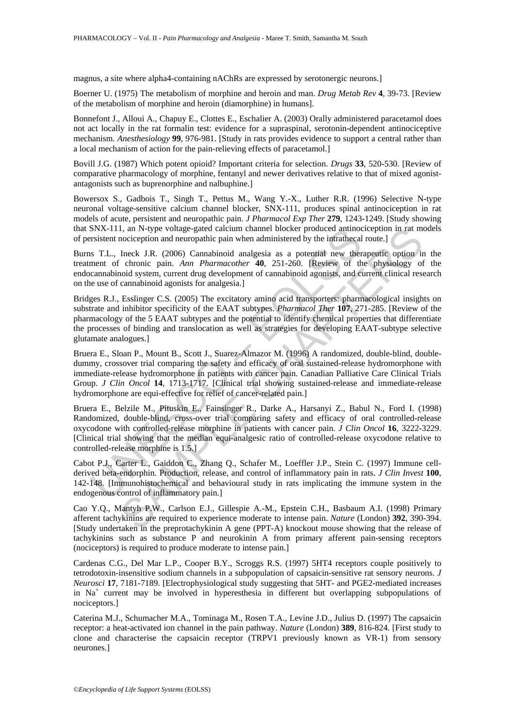magnus, a site where alpha4-containing nAChRs are expressed by serotonergic neurons.]

Boerner U. (1975) The metabolism of morphine and heroin and man. *Drug Metab Rev* **4**, 39-73. [Review of the metabolism of morphine and heroin (diamorphine) in humans].

Bonnefont J., Alloui A., Chapuy E., Clottes E., Eschalier A. (2003) Orally administered paracetamol does not act locally in the rat formalin test: evidence for a supraspinal, serotonin-dependent antinociceptive mechanism. *Anesthesiology* **99**, 976-981. [Study in rats provides evidence to support a central rather than a local mechanism of action for the pain-relieving effects of paracetamol.]

Bovill J.G. (1987) Which potent opioid? Important criteria for selection. *Drugs* **33**, 520-530. [Review of comparative pharmacology of morphine, fentanyl and newer derivatives relative to that of mixed agonistantagonists such as buprenorphine and nalbuphine.]

Bowersox S., Gadbois T., Singh T., Pettus M., Wang Y.-X., Luther R.R. (1996) Selective N-type neuronal voltage-sensitive calcium channel blocker, SNX-111, produces spinal antinociception in rat models of acute, persistent and neuropathic pain. *J Pharmacol Exp Ther* **279**, 1243-1249. [Study showing that SNX-111, an N-type voltage-gated calcium channel blocker produced antinociception in rat models of persistent nociception and neuropathic pain when administered by the intrathecal route.]

Burns T.L., Ineck J.R. (2006) Cannabinoid analgesia as a potential new therapeutic option in the treatment of chronic pain. *Ann Pharmacother* **40**, 251-260. [Review of the physiology of the endocannabinoid system, current drug development of cannabinoid agonists, and current clinical research on the use of cannabinoid agonists for analgesia.]

SNX-111, an N-type voltage-gated calcum channel blocker produced antmos<br>
risistent noccieption and neuropathic paint manufinistered by the intracted<br>
is T.L., Ineck J.R. (2006) Cannabinoid analgesia as a potential new ther I, an N-type voltage-agted calcium channel blocker produced antinocizeption in rat m-<br>nociception and neuropathic pain when administered by the intrathecal route.<br>Ineck J.R. (2006) Cannabinoid analgesia as a potential new Bridges R.J., Esslinger C.S. (2005) The excitatory amino acid transporters: pharmacological insights on substrate and inhibitor specificity of the EAAT subtypes. *Pharmacol Ther* **107**, 271-285. [Review of the pharmacology of the 5 EAAT subtypes and the potential to identify chemical properties that differentiate the processes of binding and translocation as well as strategies for developing EAAT-subtype selective glutamate analogues.]

Bruera E., Sloan P., Mount B., Scott J., Suarez-Almazor M. (1996) A randomized, double-blind, doubledummy, crossover trial comparing the safety and efficacy of oral sustained-release hydromorphone with immediate-release hydromorphone in patients with cancer pain. Canadian Palliative Care Clinical Trials Group. *J Clin Oncol* **14**, 1713-1717. [Clinical trial showing sustained-release and immediate-release hydromorphone are equi-effective for relief of cancer-related pain.]

Bruera E., Belzile M., Pituskin E., Fainsinger R., Darke A., Harsanyi Z., Babul N., Ford I. (1998) Randomized, double-blind, cross-over trial comparing safety and efficacy of oral controlled-release oxycodone with controlled-release morphine in patients with cancer pain. *J Clin Oncol* **16**, 3222-3229. [Clinical trial showing that the median equi-analgesic ratio of controlled-release oxycodone relative to controlled-release morphine is 1.5.]

Cabot P.J., Carter L., Gaiddon C., Zhang Q., Schafer M., Loeffler J.P., Stein C. (1997) Immune cellderived beta-endorphin. Production, release, and control of inflammatory pain in rats. *J Clin Invest* **100**, 142-148. [Immunohistochemical and behavioural study in rats implicating the immune system in the endogenous control of inflammatory pain.]

Cao Y.Q., Mantyh P.W., Carlson E.J., Gillespie A.-M., Epstein C.H., Basbaum A.I. (1998) Primary afferent tachykinins are required to experience moderate to intense pain. *Nature* (London) **392**, 390-394. [Study undertaken in the preprotachykinin A gene (PPT-A) knockout mouse showing that the release of tachykinins such as substance P and neurokinin A from primary afferent pain-sensing receptors (nociceptors) is required to produce moderate to intense pain.]

Cardenas C.G., Del Mar L.P., Cooper B.Y., Scroggs R.S. (1997) 5HT4 receptors couple positively to tetrodotoxin-insensitive sodium channels in a subpopulation of capsaicin-sensitive rat sensory neurons. *J Neurosci* **17**, 7181-7189. [Electrophysiological study suggesting that 5HT- and PGE2-mediated increases in Na<sup>+</sup> current may be involved in hyperesthesia in different but overlapping subpopulations of nociceptors.]

Caterina M.J., Schumacher M.A., Tominaga M., Rosen T.A., Levine J.D., Julius D. (1997) The capsaicin receptor: a heat-activated ion channel in the pain pathway. *Nature* (London) **389**, 816-824. [First study to clone and characterise the capsaicin receptor (TRPV1 previously known as VR-1) from sensory neurones.]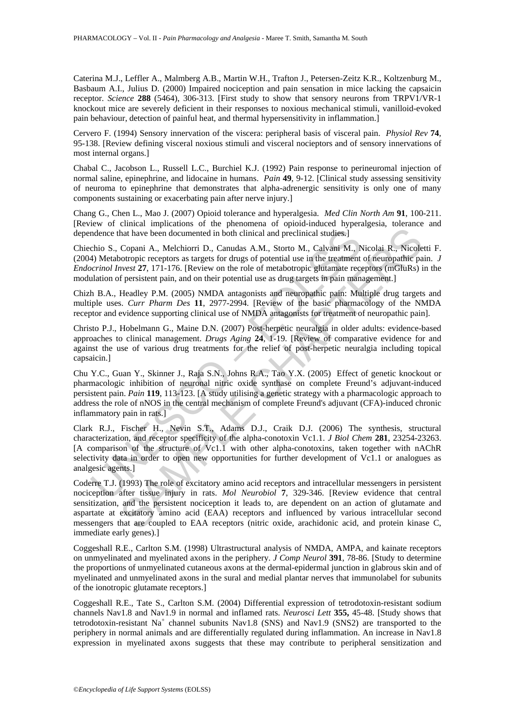Caterina M.J., Leffler A., Malmberg A.B., Martin W.H., Trafton J., Petersen-Zeitz K.R., Koltzenburg M., Basbaum A.I., Julius D. (2000) Impaired nociception and pain sensation in mice lacking the capsaicin receptor. *Science* **288** (5464), 306-313. [First study to show that sensory neurons from TRPV1/VR-1 knockout mice are severely deficient in their responses to noxious mechanical stimuli, vanilloid-evoked pain behaviour, detection of painful heat, and thermal hypersensitivity in inflammation.]

Cervero F. (1994) Sensory innervation of the viscera: peripheral basis of visceral pain. *Physiol Rev* **74**, 95-138. [Review defining visceral noxious stimuli and visceral nocieptors and of sensory innervations of most internal organs.]

Chabal C., Jacobson L., Russell L.C., Burchiel K.J. (1992) Pain response to perineuromal injection of normal saline, epinephrine, and lidocaine in humans. *Pain* **49**, 9-12. [Clinical study assessing sensitivity of neuroma to epinephrine that demonstrates that alpha-adrenergic sensitivity is only one of many components sustaining or exacerbating pain after nerve injury.]

Chang G., Chen L., Mao J. (2007) Opioid tolerance and hyperalgesia. *Med Clin North Am* **91**, 100-211. [Review of clinical implications of the phenomena of opioid-induced hyperalgesia, tolerance and dependence that have been documented in both clinical and preclinical studies.]

Chiechio S., Copani A., Melchiorri D., Canudas A.M., Storto M., Calvani M., Nicolai R., Nicoletti F. (2004) Metabotropic receptors as targets for drugs of potential use in the treatment of neuropathic pain. *J Endocrinol Invest* **27**, 171-176. [Review on the role of metabotropic glutamate receptors (mGluRs) in the modulation of persistent pain, and on their potential use as drug targets in pain management.]

Chizh B.A., Headley P.M. (2005) NMDA antagonists and neuropathic pain: Multiple drug targets and multiple uses. *Curr Pharm Des* **11**, 2977-2994. [Review of the basic pharmacology of the NMDA receptor and evidence supporting clinical use of NMDA antagonists for treatment of neuropathic pain].

Christo P.J., Hobelmann G., Maine D.N. (2007) Post-herpetic neuralgia in older adults: evidence-based approaches to clinical management. *Drugs Aging* **24**, 1-19. [Review of comparative evidence for and against the use of various drug treatments for the relief of post-herpetic neuralgia including topical capsaicin.]

ndence that have been documented in both clinical and preclinical studies;]<br>
chio S., Copani A., Melchiorri D., Canudas A.M., Storto M., Calvani M., N<br>
4) Metabotropic receptors as targets for drugs of potential use in the Chu Y.C., Guan Y., Skinner J., Raja S.N., Johns R.A., Tao Y.X. (2005) Effect of genetic knockout or pharmacologic inhibition of neuronal nitric oxide synthase on complete Freund's adjuvant-induced persistent pain. *Pain* **119**, 113-123. [A study utilising a genetic strategy with a pharmacologic approach to address the role of nNOS in the central mechanism of complete Freund's adjuvant (CFA)-induced chronic inflammatory pain in rats.]

Clark R.J., Fischer H., Nevin S.T., Adams D.J., Craik D.J. (2006) The synthesis, structural characterization, and receptor specificity of the alpha-conotoxin Vc1.1. *J Biol Chem* **281**, 23254-23263. [A comparison of the structure of Vc1.1 with other alpha-conotoxins, taken together with nAChR selectivity data in order to open new opportunities for further development of Vc1.1 or analogues as analgesic agents.]

hat have been documented in both clinical and preclinical studies.]<br>Copani A., Melchiorri D., Canudas A.M., Storto M., Calvani M., Nicolai R., Nicole<br>Copani A., Melchiorri D., Canudas A.M., Storto M., Calvani M., Nicolai Coderre T.J. (1993) The role of excitatory amino acid receptors and intracellular messengers in persistent nociception after tissue injury in rats. *Mol Neurobiol* **7**, 329-346. [Review evidence that central sensitization, and the persistent nociception it leads to, are dependent on an action of glutamate and aspartate at excitatory amino acid (EAA) receptors and influenced by various intracellular second messengers that are coupled to EAA receptors (nitric oxide, arachidonic acid, and protein kinase C, immediate early genes).]

Coggeshall R.E., Carlton S.M. (1998) Ultrastructural analysis of NMDA, AMPA, and kainate receptors on unmyelinated and myelinated axons in the periphery. *J Comp Neurol* **391**, 78-86. [Study to determine the proportions of unmyelinated cutaneous axons at the dermal-epidermal junction in glabrous skin and of myelinated and unmyelinated axons in the sural and medial plantar nerves that immunolabel for subunits of the ionotropic glutamate receptors.]

Coggeshall R.E., Tate S., Carlton S.M. (2004) Differential expression of tetrodotoxin-resistant sodium channels Nav1.8 and Nav1.9 in normal and inflamed rats. *Neurosci Lett* **355,** 45-48. [Study shows that tetrodotoxin-resistant Na<sup>+</sup> channel subunits Nav1.8 (SNS) and Nav1.9 (SNS2) are transported to the periphery in normal animals and are differentially regulated during inflammation. An increase in Nav1.8 expression in myelinated axons suggests that these may contribute to peripheral sensitization and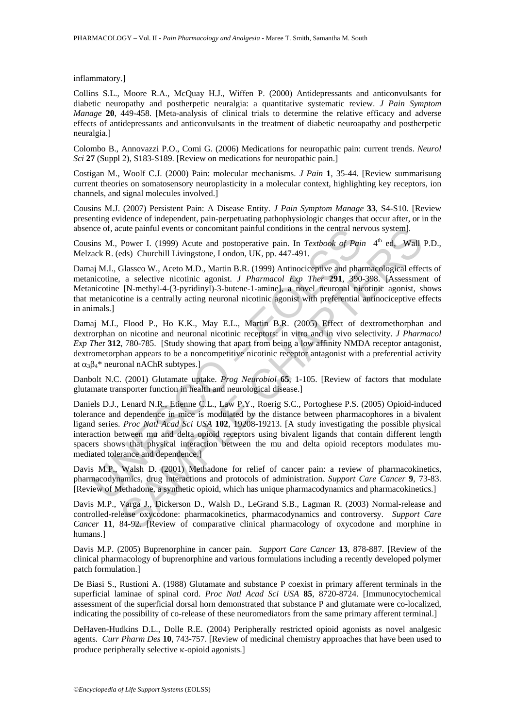inflammatory.]

Collins S.L., Moore R.A., McQuay H.J., Wiffen P. (2000) Antidepressants and anticonvulsants for diabetic neuropathy and postherpetic neuralgia: a quantitative systematic review. *J Pain Symptom Manage* **20**, 449-458. [Meta-analysis of clinical trials to determine the relative efficacy and adverse effects of antidepressants and anticonvulsants in the treatment of diabetic neuroapathy and postherpetic neuralgia.]

Colombo B., Annovazzi P.O., Comi G. (2006) Medications for neuropathic pain: current trends. *Neurol Sci* **27** (Suppl 2), S183-S189. [Review on medications for neuropathic pain.]

Costigan M., Woolf C.J. (2000) Pain: molecular mechanisms. *J Pain* **1**, 35-44. [Review summarisung current theories on somatosensory neuroplasticity in a molecular context, highlighting key receptors, ion channels, and signal molecules involved.]

Cousins M.J. (2007) Persistent Pain: A Disease Entity. *J Pain Symptom Manage* **33**, S4-S10. [Review presenting evidence of independent, pain-perpetuating pathophysiologic changes that occur after, or in the absence of, acute painful events or concomitant painful conditions in the central nervous system].

Cousins M., Power I. (1999) Acute and postoperative pain. In *Textbook of Pain* 4<sup>th</sup> ed. Wall P.D., Melzack R. (eds) Churchill Livingstone, London, UK, pp. 447-491.

Damaj M.I., Glassco W., Aceto M.D., Martin B.R. (1999) Antinociceptive and pharmacological effects of metanicotine, a selective nicotinic agonist. *J Pharmacol Exp Ther* **291**, 390-398. [Assessment of Metanicotine [N-methyl-4-(3-pyridinyl)-3-butene-1-amine], a novel neuronal nicotinic agonist, shows that metanicotine is a centrally acting neuronal nicotinic agonist with preferential antinociceptive effects in animals.]

Damaj M.I., Flood P., Ho K.K., May E.L., Martin B.R. (2005) Effect of dextromethorphan and dextrorphan on nicotine and neuronal nicotinic receptors: in vitro and in vivo selectivity. *J Pharmacol Exp The*r **312**, 780-785. [Study showing that apart from being a low affinity NMDA receptor antagonist, dextrometorphan appears to be a noncompetitive nicotinic receptor antagonist with a preferential activity at  $\alpha_3 \beta_4^*$  neuronal nAChR subtypes.]

Danbolt N.C. (2001) Glutamate uptake. *Prog Neurobiol* **65**, 1-105. [Review of factors that modulate glutamate transporter function in health and neurological disease.]

nce of, acute panntul events or concomitant panntul conditions in the central ner<br>ins M., Power I. (1999) Acute and postoperative pain. In *Textbook of Paia*<br>ack R. (eds) Churchill Livingstone, London, UK, pp. 447-491.<br>aij cute painful events or concomitant painful conditions in the central nervous system].<br>
Power I. (1999) Actur and postoperative pain. In *Textbook of Pain* 4<sup>th</sup> ed. Wall<br>
eds) Churchill Livingstone, London, UK, pp. 447-491 Daniels D.J., Lenard N.R., Etienne C.L., Law P.Y., Roerig S.C., Portoghese P.S. (2005) Opioid-induced tolerance and dependence in mice is modulated by the distance between pharmacophores in a bivalent ligand series. *Proc Natl Acad Sci USA* **102**, 19208-19213. [A study investigating the possible physical interaction between mu and delta opioid receptors using bivalent ligands that contain different length spacers shows that physical interaction between the mu and delta opioid receptors modulates mumediated tolerance and dependence.]

Davis M.P., Walsh D. (2001) Methadone for relief of cancer pain: a review of pharmacokinetics, pharmacodynamics, drug interactions and protocols of administration. *Support Care Cancer* **9**, 73-83. [Review of Methadone, a synthetic opioid, which has unique pharmacodynamics and pharmacokinetics.]

Davis M.P., Varga J., Dickerson D., Walsh D., LeGrand S.B., Lagman R. (2003) Normal-release and controlled-release oxycodone: pharmacokinetics, pharmacodynamics and controversy. *Support Care Cancer* **11**, 84-92. [Review of comparative clinical pharmacology of oxycodone and morphine in humans.]

Davis M.P. (2005) Buprenorphine in cancer pain. *Support Care Cancer* **13**, 878-887. [Review of the clinical pharmacology of buprenorphine and various formulations including a recently developed polymer patch formulation.]

De Biasi S., Rustioni A. (1988) Glutamate and substance P coexist in primary afferent terminals in the superficial laminae of spinal cord. *Proc Natl Acad Sci USA* **85**, 8720-8724. [Immunocytochemical assessment of the superficial dorsal horn demonstrated that substance P and glutamate were co-localized, indicating the possibility of co-release of these neuromediators from the same primary afferent terminal.]

DeHaven-Hudkins D.L., Dolle R.E. (2004) Peripherally restricted opioid agonists as novel analgesic agents. *Curr Pharm Des* **10**, 743-757. [Review of medicinal chemistry approaches that have been used to produce peripherally selective κ-opioid agonists.]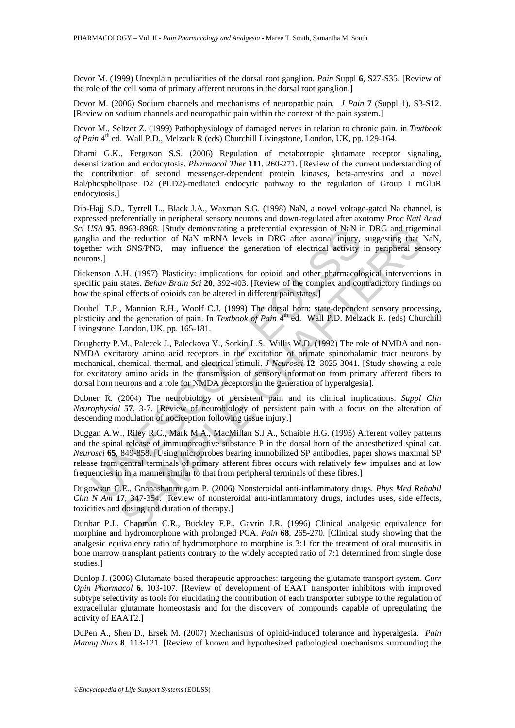Devor M. (1999) Unexplain peculiarities of the dorsal root ganglion. *Pain* Suppl **6**, S27-S35. [Review of the role of the cell soma of primary afferent neurons in the dorsal root ganglion.]

Devor M. (2006) Sodium channels and mechanisms of neuropathic pain*. J Pain* **7** (Suppl 1), S3-S12. [Review on sodium channels and neuropathic pain within the context of the pain system.]

Devor M., Seltzer Z. (1999) Pathophysiology of damaged nerves in relation to chronic pain. in *Textbook of Pain* 4th ed. Wall P.D., Melzack R (eds) Churchill Livingstone, London, UK, pp. 129-164.

Dhami G.K., Ferguson S.S. (2006) Regulation of metabotropic glutamate receptor signaling, desensitization and endocytosis. *Pharmacol Ther* **111**, 260-271. [Review of the current understanding of the contribution of second messenger-dependent protein kinases, beta-arrestins and a novel Ral/phospholipase D2 (PLD2)-mediated endocytic pathway to the regulation of Group I mGluR endocytosis.]

Dib-Hajj S.D., Tyrrell L., Black J.A., Waxman S.G. (1998) NaN, a novel voltage-gated Na channel, is expressed preferentially in peripheral sensory neurons and down-regulated after axotomy *Proc Natl Acad Sci USA* **95**, 8963-8968. [Study demonstrating a preferential expression of NaN in DRG and trigeminal ganglia and the reduction of NaN mRNA levels in DRG after axonal injury, suggesting that NaN, together with SNS/PN3, may influence the generation of electrical activity in peripheral sensory neurons.]

Dickenson A.H. (1997) Plasticity: implications for opioid and other pharmacological interventions in specific pain states. *Behav Brain Sci* **20**, 392-403. [Review of the complex and contradictory findings on how the spinal effects of opioids can be altered in different pain states.]

Doubell T.P., Mannion R.H., Woolf C.J. (1999) The dorsal horn: state-dependent sensory processing, plasticity and the generation of pain. In *Textbook of Pain* 4<sup>th</sup> ed. Wall P.D. Melzack R. (eds) Churchill Livingstone, London, UK, pp. 165-181.

SA 95.8-9508-3908. [Study demonstrating a prelerential expression of NaN mRNA beysles in DRG after axonal injury,<br>her with SNS/PN3, may influence the generation of electrical aetivity<br>ther with SNS/PN3, may influence the 8968-8968. [Study demonstrating a preferential expression of NaN in DRG and trigered applies<br>the reduction of NaN mRNA levels in DRG after axonal injury, suggesting that in SNS/PN3, may influence the generation of electric Dougherty P.M., Palecek J., Paleckova V., Sorkin L.S., Willis W.D. (1992) The role of NMDA and non-NMDA excitatory amino acid receptors in the excitation of primate spinothalamic tract neurons by mechanical, chemical, thermal, and electrical stimuli. *J Neurosci* **12**, 3025-3041. [Study showing a role for excitatory amino acids in the transmission of sensory information from primary afferent fibers to dorsal horn neurons and a role for NMDA receptors in the generation of hyperalgesia].

Dubner R. (2004) The neurobiology of persistent pain and its clinical implications. *Suppl Clin Neurophysiol* **57**, 3-7. [Review of neurobiology of persistent pain with a focus on the alteration of descending modulation of nociception following tissue injury.]

Duggan A.W., Riley R.C., Mark M.A., MacMillan S.J.A., Schaible H.G. (1995) Afferent volley patterns and the spinal release of immunoreactive substance P in the dorsal horn of the anaesthetized spinal cat. *Neurosci* **65**, 849-858. [Using microprobes bearing immobilized SP antibodies, paper shows maximal SP release from central terminals of primary afferent fibres occurs with relatively few impulses and at low frequencies in in a manner similar to that from peripheral terminals of these fibres.]

Dugowson C.E., Gnanashanmugam P. (2006) Nonsteroidal anti-inflammatory drugs. *Phys Med Rehabil Clin N Am* **17**, 347-354. [Review of nonsteroidal anti-inflammatory drugs, includes uses, side effects, toxicities and dosing and duration of therapy.]

Dunbar P.J., Chapman C.R., Buckley F.P., Gavrin J.R. (1996) Clinical analgesic equivalence for morphine and hydromorphone with prolonged PCA. *Pain* **68**, 265-270. [Clinical study showing that the analgesic equivalency ratio of hydromorphone to morphine is 3:1 for the treatment of oral mucositis in bone marrow transplant patients contrary to the widely accepted ratio of 7:1 determined from single dose studies.]

Dunlop J. (2006) Glutamate-based therapeutic approaches: targeting the glutamate transport system. *Curr Opin Pharmacol* **6**, 103-107. [Review of development of EAAT transporter inhibitors with improved subtype selectivity as tools for elucidating the contribution of each transporter subtype to the regulation of extracellular glutamate homeostasis and for the discovery of compounds capable of upregulating the activity of EAAT2.]

DuPen A., Shen D., Ersek M. (2007) Mechanisms of opioid-induced tolerance and hyperalgesia. *Pain Manag Nurs* **8**, 113-121. [Review of known and hypothesized pathological mechanisms surrounding the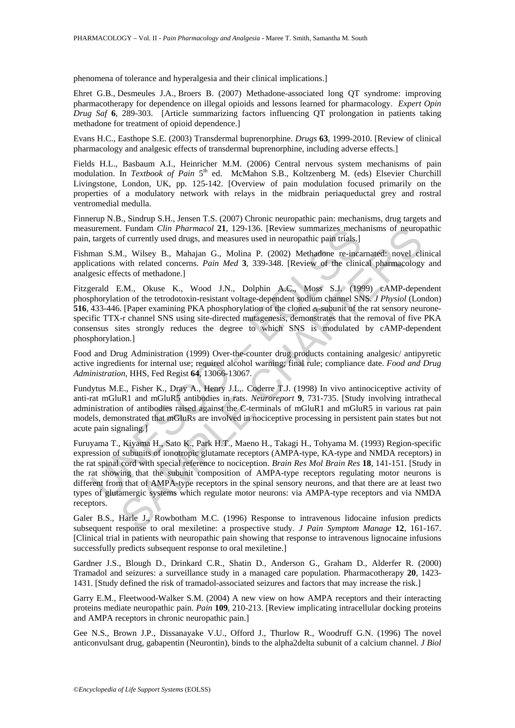phenomena of tolerance and hyperalgesia and their clinical implications.]

Ehret G.B., Desmeules J.A., Broers B. (2007) Methadone-associated long QT syndrome: improving pharmacotherapy for dependence on illegal opioids and lessons learned for pharmacology. *Expert Opin Drug Saf* **6**, 289-303. [Article summarizing factors influencing QT prolongation in patients taking methadone for treatment of opioid dependence.]

Evans H.C., Easthope S.E. (2003) Transdermal buprenorphine. *Drugs* **63**, 1999-2010. [Review of clinical pharmacology and analgesic effects of transdermal buprenorphine, including adverse effects.]

Fields H.L., Basbaum A.I., Heinricher M.M. (2006) Central nervous system mechanisms of pain modulation. In *Textbook of Pain* 5<sup>th</sup> ed. McMahon S.B., Koltzenberg M. (eds) Elsevier Churchill Livingstone, London, UK, pp. 125-142. [Overview of pain modulation focused primarily on the properties of a modulatory network with relays in the midbrain periaqueductal grey and rostral ventromedial medulla.

Finnerup N.B., Sindrup S.H., Jensen T.S. (2007) Chronic neuropathic pain: mechanisms, drug targets and measurement. Fundam *Clin Pharmacol* **21**, 129-136. [Review summarizes mechanisms of neuropathic pain, targets of currently used drugs, and measures used in neuropathic pain trials.]

Fishman S.M., Wilsey B., Mahajan G., Molina P. (2002) Methadone re-incarnated: novel clinical applications with related concerns. *Pain Med* **3**, 339-348. [Review of the clinical pharmacology and analgesic effects of methadone.]

Fitzgerald E.M., Okuse K., Wood J.N., Dolphin A.C., Moss S.J. (1999) cAMP-dependent phosphorylation of the tetrodotoxin-resistant voltage-dependent sodium channel SNS. *J Physiol* (London) **516**, 433-446. [Paper examining PKA phosphorylation of the cloned  $\alpha$ -subunit of the rat sensory neuronespecific TTX-r channel SNS using site-directed mutagenesis, demonstrates that the removal of five PKA consensus sites strongly reduces the degree to which SNS is modulated by cAMP-dependent phosphorylation.]

Food and Drug Administration (1999) Over-the-counter drug products containing analgesic/ antipyretic active ingredients for internal use; required alcohol warning; final rule; compliance date. *Food and Drug Administration*, HHS, Fed Regist **64**, 13066-13067.

Fundytus M.E., Fisher K., Dray A., Henry J.L,. Coderre T.J. (1998) In vivo antinociceptive activity of anti-rat mGluR1 and mGluR5 antibodies in rats. *Neuroreport* **9**, 731-735. [Study involving intrathecal administration of antibodies raised against the C-terminals of mGluR1 and mGluR5 in various rat pain models, demonstrated that mGluRs are involved in nociceptive processing in persistent pain states but not acute pain signaling.]

uterment. Fundam Clin *Pharmacol* 21, 129-136. [Review summarizes mechand respects of currently used drugs, and measures used in neuropathic pain finished and measures of currently used and measures with related concerns. Frudam Clin Pharmacod 21, 129-136. [Review summarizes mechanisms of neuropy<br>of orterntly used drugs, and measures used in neuropathic pain trials]<br>
A. Wilsey B., Mahajan G., Molina P. (2002) Methadone re-incarnated: novel Furuyama T., Kiyama H., Sato K., Park H.T., Maeno H., Takagi H., Tohyama M. (1993) Region-specific expression of subunits of ionotropic glutamate receptors (AMPA-type, KA-type and NMDA receptors) in the rat spinal cord with special reference to nociception. *Brain Res Mol Brain Res* **18**, 141-151. [Study in the rat showing that the subunit composition of AMPA-type receptors regulating motor neurons is different from that of AMPA-type receptors in the spinal sensory neurons, and that there are at least two types of glutamergic systems which regulate motor neurons: via AMPA-type receptors and via NMDA receptors.

Galer B.S., Harle J., Rowbotham M.C. (1996) Response to intravenous lidocaine infusion predicts subsequent response to oral mexiletine: a prospective study. *J Pain Symptom Manage* **12**, 161-167. [Clinical trial in patients with neuropathic pain showing that response to intravenous lignocaine infusions successfully predicts subsequent response to oral mexiletine.]

Gardner J.S., Blough D., Drinkard C.R., Shatin D., Anderson G., Graham D., Alderfer R. (2000) Tramadol and seizures: a surveillance study in a managed care population. Pharmacotherapy **20**, 1423- 1431. [Study defined the risk of tramadol-associated seizures and factors that may increase the risk.]

Garry E.M., Fleetwood-Walker S.M. (2004) A new view on how AMPA receptors and their interacting proteins mediate neuropathic pain. *Pain* **109**, 210-213. [Review implicating intracellular docking proteins and AMPA receptors in chronic neuropathic pain.]

Gee N.S., Brown J.P., Dissanayake V.U., Offord J., Thurlow R., Woodruff G.N. (1996) The novel anticonvulsant drug, gabapentin (Neurontin), binds to the alpha2delta subunit of a calcium channel. *J Biol*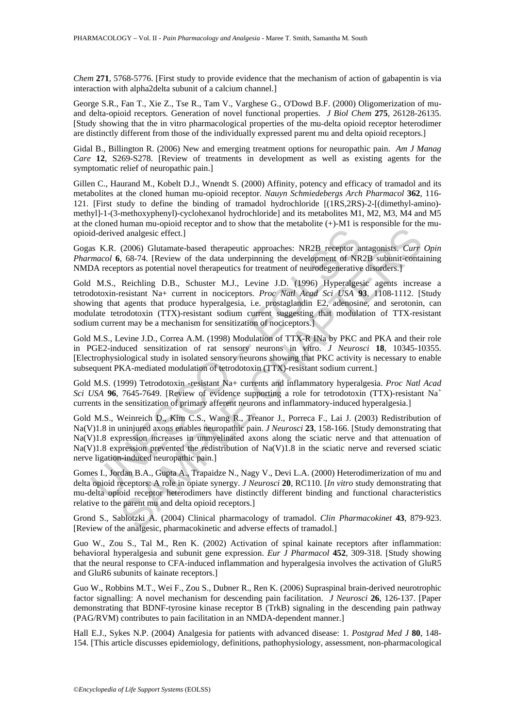*Chem* **271**, 5768-5776. [First study to provide evidence that the mechanism of action of gabapentin is via interaction with alpha2delta subunit of a calcium channel.]

George S.R., Fan T., Xie Z., Tse R., Tam V., Varghese G., O'Dowd B.F. (2000) Oligomerization of muand delta-opioid receptors. Generation of novel functional properties. *J Biol Chem* **275**, 26128-26135. [Study showing that the in vitro pharmacological properties of the mu-delta opioid receptor heterodimer are distinctly different from those of the individually expressed parent mu and delta opioid receptors.]

Gidal B., Billington R. (2006) New and emerging treatment options for neuropathic pain. *Am J Manag Care* **12**, S269-S278. [Review of treatments in development as well as existing agents for the symptomatic relief of neuropathic pain.]

Gillen C., Haurand M., Kobelt D.J., Wnendt S. (2000) Affinity, potency and efficacy of tramadol and its metabolites at the cloned human mu-opioid receptor. *Nauyn Schmiedebergs Arch Pharmacol* **362**, 116- 121. [First study to define the binding of tramadol hydrochloride [(1RS,2RS)-2-[(dimethyl-amino) methyl]-1-(3-methoxyphenyl)-cyclohexanol hydrochloride] and its metabolites M1, M2, M3, M4 and M5 at the cloned human mu-opioid receptor and to show that the metabolite  $(+)$ -M1 is responsible for the muopioid-derived analgesic effect.]

Gogas K.R. (2006) Glutamate-based therapeutic approaches: NR2B receptor antagonists. *Curr Opin Pharmacol* **6**, 68-74. [Review of the data underpinning the development of NR2B subunit-containing NMDA receptors as potential novel therapeutics for treatment of neurodegenerative disorders.]

Gold M.S., Reichling D.B., Schuster M.J., Levine J.D. (1996) Hyperalgesic agents increase a tetrodotoxin-resistant Na+ current in nociceptors. *Proc Natl Acad Sci USA* **93**, 1108-1112. [Study showing that agents that produce hyperalgesia, i.e. prostaglandin E2, adenosine, and serotonin, can modulate tetrodotoxin (TTX)-resistant sodium current suggesting that modulation of TTX-resistant sodium current may be a mechanism for sensitization of nociceptors.]

Gold M.S., Levine J.D., Correa A.M. (1998) Modulation of TTX-R INa by PKC and PKA and their role in PGE2-induced sensitization of rat sensory neurons in vitro. *J Neurosci* **18**, 10345-10355. [Electrophysiological study in isolated sensory neurons showing that PKC activity is necessary to enable subsequent PKA-mediated modulation of tetrodotoxin (TTX)-resistant sodium current.]

Gold M.S. (1999) Tetrodotoxin -resistant Na+ currents and inflammatory hyperalgesia. *Proc Natl Acad Sci USA* **96**, 7645-7649. [Review of evidence supporting a role for tetrodotoxin (TTX)-resistant Na<sup>+</sup> currents in the sensitization of primary afferent neurons and inflammatory-induced hyperalgesia.]

id-derived analgesic effect.]<br>
as K.R. (2006) Glutamate-based therapeutic approaches: NR2B receptor an<br>
macol 6, 68-74. [Review of the data underpining the development of NR<br>
MA receptors as potential novel therapeutics fo of analgesic effect.]<br>
(2006) Glutamate-based therapeutic approaches: NR2B receptor antagonists. *Curr*<br>
(3006) Glutamate-based therapeutic approaches: NR2B receptor antagonists. *Curr*<br>
(58.74. [Review of the data underp Gold M.S., Weinreich D., Kim C.S., Wang R., Treanor J., Porreca F., Lai J. (2003) Redistribution of Na(V)1.8 in uninjured axons enables neuropathic pain. *J Neurosci* **23**, 158-166. [Study demonstrating that Na(V)1.8 expression increases in unmyelinated axons along the sciatic nerve and that attenuation of  $Na(V)1.8$  expression prevented the redistribution of  $Na(V)1.8$  in the sciatic nerve and reversed sciatic nerve ligation-induced neuropathic pain.]

Gomes I., Jordan B.A., Gupta A., Trapaidze N., Nagy V., Devi L.A. (2000) Heterodimerization of mu and delta opioid receptors: A role in opiate synergy. *J Neurosci* **20**, RC110. [*In vitro* study demonstrating that mu-delta opioid receptor heterodimers have distinctly different binding and functional characteristics relative to the parent mu and delta opioid receptors.]

Grond S., Sablotzki A. (2004) Clinical pharmacology of tramadol. *Clin Pharmacokinet* **43**, 879-923. [Review of the analgesic, pharmacokinetic and adverse effects of tramadol.]

Guo W., Zou S., Tal M., Ren K. (2002) Activation of spinal kainate receptors after inflammation: behavioral hyperalgesia and subunit gene expression. *Eur J Pharmacol* **452**, 309-318. [Study showing that the neural response to CFA-induced inflammation and hyperalgesia involves the activation of GluR5 and GluR6 subunits of kainate receptors.]

Guo W., Robbins M.T., Wei F., Zou S., Dubner R., Ren K. (2006) Supraspinal brain-derived neurotrophic factor signalling: A novel mechanism for descending pain facilitation. *J Neurosci* **26**, 126-137. [Paper demonstrating that BDNF-tyrosine kinase receptor B (TrkB) signaling in the descending pain pathway (PAG/RVM) contributes to pain facilitation in an NMDA-dependent manner.]

Hall E.J., Sykes N.P. (2004) Analgesia for patients with advanced disease: 1. *Postgrad Med J* **80**, 148- 154. [This article discusses epidemiology, definitions, pathophysiology, assessment, non-pharmacological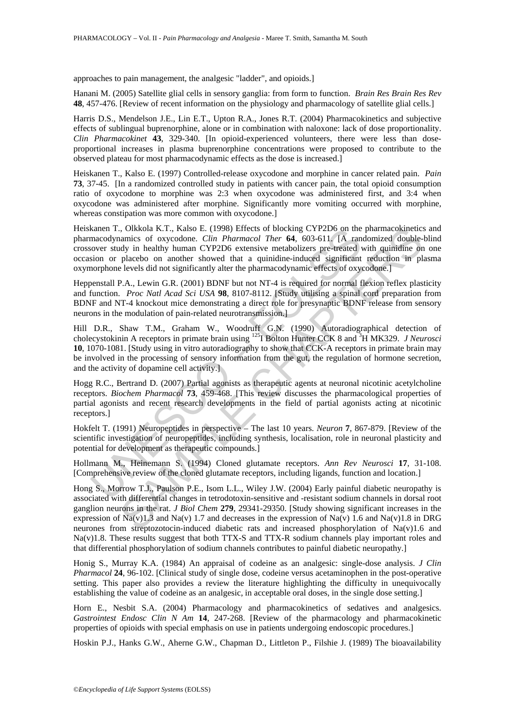approaches to pain management, the analgesic "ladder", and opioids.]

Hanani M. (2005) Satellite glial cells in sensory ganglia: from form to function. *Brain Res Brain Res Rev* **48**, 457-476. [Review of recent information on the physiology and pharmacology of satellite glial cells.]

Harris D.S., Mendelson J.E., Lin E.T., Upton R.A., Jones R.T. (2004) Pharmacokinetics and subjective effects of sublingual buprenorphine, alone or in combination with naloxone: lack of dose proportionality. *Clin Pharmacokinet* **43**, 329-340. [In opioid-experienced volunteers, there were less than doseproportional increases in plasma buprenorphine concentrations were proposed to contribute to the observed plateau for most pharmacodynamic effects as the dose is increased.]

Heiskanen T., Kalso E. (1997) Controlled-release oxycodone and morphine in cancer related pain. *Pain* **73**, 37-45. [In a randomized controlled study in patients with cancer pain, the total opioid consumption ratio of oxycodone to morphine was 2:3 when oxycodone was administered first, and 3:4 when oxycodone was administered after morphine. Significantly more vomiting occurred with morphine, whereas constipation was more common with oxycodone.]

Heiskanen T., Olkkola K.T., Kalso E. (1998) Effects of blocking CYP2D6 on the pharmacokinetics and pharmacodynamics of oxycodone. *Clin Pharmacol Ther* **64**, 603-611. [A randomized double-blind crossover study in healthy human CYP2D6 extensive metabolizers pre-treated with quinidine on one occasion or placebo on another showed that a quinidine-induced significant reduction in plasma oxymorphone levels did not significantly alter the pharmacodynamic effects of oxycodone.]

Heppenstall P.A., Lewin G.R. (2001) BDNF but not NT-4 is required for normal flexion reflex plasticity and function. *Proc Natl Acad Sci USA* **98**, 8107-8112. [Study utilising a spinal cord preparation from BDNF and NT-4 knockout mice demonstrating a direct role for presynaptic BDNF release from sensory neurons in the modulation of pain-related neurotransmission.]

kann T., Olkkola K.T., Kaiso E. (1998) Etters of blocking CYP2D6 on the<br>macodynamics of oxycodone. Clin Pharmacol Ther **64,** 603-61L [A ran<br>macodynamics of oxycodone. Clin Pharmacol Ther **64**, 603-61L [A ran<br>over study in , Olkokal K.T., Kalso E. (1998) Effects of blocking CYP2D6 on the pharmacokinetic.<br>
namies of oxycodone. Clin Pharmacol Ther 64, 603-611. [A randomized double-<br>
ddy in healthy human CYP2D6 extensive metabolizers pre-treat Hill D.R., Shaw T.M., Graham W., Woodruff G.N. (1990) Autoradiographical detection of cholecystokinin A receptors in primate brain using 125I Bolton Hunter CCK 8 and 3 H MK329. *J Neurosci* **10**, 1070-1081. [Study using in vitro autoradiography to show that CCK-A receptors in primate brain may be involved in the processing of sensory information from the gut, the regulation of hormone secretion, and the activity of dopamine cell activity.]

Hogg R.C., Bertrand D. (2007) Partial agonists as therapeutic agents at neuronal nicotinic acetylcholine receptors. *Biochem Pharmacol* **73**, 459-468. [This review discusses the pharmacological properties of partial agonists and recent research developments in the field of partial agonists acting at nicotinic receptors.]

Hokfelt T. (1991) Neuropeptides in perspective – The last 10 years. *Neuron* **7**, 867-879. [Review of the scientific investigation of neuropeptides, including synthesis, localisation, role in neuronal plasticity and potential for development as therapeutic compounds.]

Hollmann M., Heinemann S. (1994) Cloned glutamate receptors. *Ann Rev Neurosci* **17**, 31-108. [Comprehensive review of the cloned glutamate receptors, including ligands, function and location.]

Hong S., Morrow T.J., Paulson P.E., Isom L.L., Wiley J.W. (2004) Early painful diabetic neuropathy is associated with differential changes in tetrodotoxin-sensitive and -resistant sodium channels in dorsal root ganglion neurons in the rat. *J Biol Chem* **279**, 29341-29350. [Study showing significant increases in the expression of Na(v)1.3 and Na(v) 1.7 and decreases in the expression of Na(v) 1.6 and Na(v)1.8 in DRG neurones from streptozotocin-induced diabetic rats and increased phosphorylation of Na(v)1.6 and Na(v)1.8. These results suggest that both TTX-S and TTX-R sodium channels play important roles and that differential phosphorylation of sodium channels contributes to painful diabetic neuropathy.]

Honig S., Murray K.A. (1984) An appraisal of codeine as an analgesic: single-dose analysis. *J Clin Pharmacol* **24**, 96-102. [Clinical study of single dose, codeine versus acetaminophen in the post-operative setting. This paper also provides a review the literature highlighting the difficulty in unequivocally establishing the value of codeine as an analgesic, in acceptable oral doses, in the single dose setting.]

Horn E., Nesbit S.A. (2004) Pharmacology and pharmacokinetics of sedatives and analgesics. *Gastrointest Endosc Clin N Am* **14**, 247-268. [Review of the pharmacology and pharmacokinetic properties of opioids with special emphasis on use in patients undergoing endoscopic procedures.]

Hoskin P.J., Hanks G.W., Aherne G.W., Chapman D., Littleton P., Filshie J. (1989) The bioavailability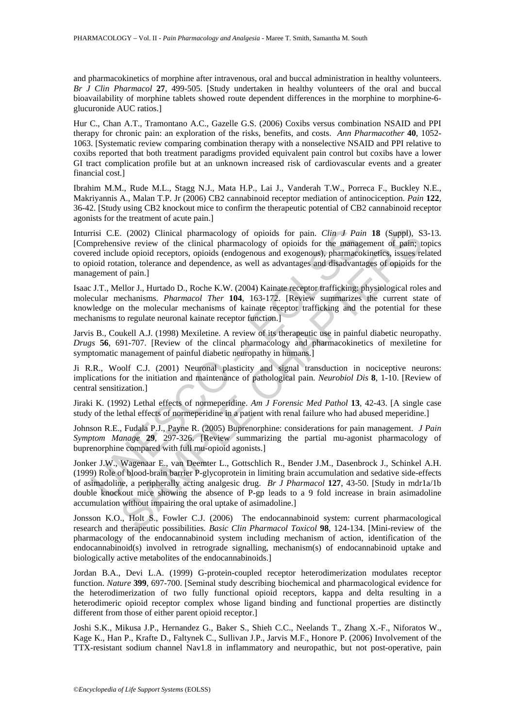and pharmacokinetics of morphine after intravenous, oral and buccal administration in healthy volunteers. *Br J Clin Pharmacol* **27**, 499-505. [Study undertaken in healthy volunteers of the oral and buccal bioavailability of morphine tablets showed route dependent differences in the morphine to morphine-6 glucuronide AUC ratios.]

Hur C., Chan A.T., Tramontano A.C., Gazelle G.S. (2006) Coxibs versus combination NSAID and PPI therapy for chronic pain: an exploration of the risks, benefits, and costs. *Ann Pharmacother* **40**, 1052- 1063. [Systematic review comparing combination therapy with a nonselective NSAID and PPI relative to coxibs reported that both treatment paradigms provided equivalent pain control but coxibs have a lower GI tract complication profile but at an unknown increased risk of cardiovascular events and a greater financial cost.]

Ibrahim M.M., Rude M.L., Stagg N.J., Mata H.P., Lai J., Vanderah T.W., Porreca F., Buckley N.E., Makriyannis A., Malan T.P. Jr (2006) CB2 cannabinoid receptor mediation of antinociception. *Pain* **122**, 36-42. [Study using CB2 knockout mice to confirm the therapeutic potential of CB2 cannabinoid receptor agonists for the treatment of acute pain.]

risi C.E. (2002) Clinical pharmacology of opioids for pain. *Clin J Paia*<br>preprehensive review of the clinical pharmacology of opioids for the umangeorelensive review of the clinical pharmacology of opioids for the umang<br> Inturrisi C.E. (2002) Clinical pharmacology of opioids for pain. *Clin J Pain* **18** (Suppl), S3-13. [Comprehensive review of the clinical pharmacology of opioids for the management of pain; topics covered include opioid receptors, opioids (endogenous and exogenous), pharmacokinetics, issues related to opioid rotation, tolerance and dependence, as well as advantages and disadvantages of opioids for the management of pain.]

Isaac J.T., Mellor J., Hurtado D., Roche K.W. (2004) Kainate receptor trafficking: physiological roles and molecular mechanisms. *Pharmacol Ther* **104**, 163-172. [Review summarizes the current state of knowledge on the molecular mechanisms of kainate receptor trafficking and the potential for these mechanisms to regulate neuronal kainate receptor function.]

Jarvis B., Coukell A.J. (1998) Mexiletine. A review of its therapeutic use in painful diabetic neuropathy. *Drugs* **56**, 691-707. [Review of the clincal pharmacology and pharmacokinetics of mexiletine for symptomatic management of painful diabetic neuropathy in humans.]

Ji R.R., Woolf C.J. (2001) Neuronal plasticity and signal transduction in nociceptive neurons: implications for the initiation and maintenance of pathological pain. *Neurobiol Dis* **8**, 1-10. [Review of central sensitization.]

Jiraki K. (1992) Lethal effects of normeperidine. *Am J Forensic Med Pathol* **13**, 42-43. [A single case study of the lethal effects of normeperidine in a patient with renal failure who had abused meperidine.]

Johnson R.E., Fudala P.J., Payne R. (2005) Buprenorphine: considerations for pain management. *J Pain Symptom Manage* **29**, 297-326. [Review summarizing the partial mu-agonist pharmacology of buprenorphine compared with full mu-opioid agonists.]

.. (2002) Clinical pharmacology of opioids for pain. *Clin J Pain* 18 (Suppl), S.<br>
view review of the clinical pharmacology of opioids for the minagement of pain;<br>
dide opioid receptors, opioids (endogenous and exogenous) Jonker J.W., Wagenaar E., van Deemter L., Gottschlich R., Bender J.M., Dasenbrock J., Schinkel A.H. (1999) Role of blood-brain barrier P-glycoprotein in limiting brain accumulation and sedative side-effects of asimadoline, a peripherally acting analgesic drug. *Br J Pharmacol* **127**, 43-50. [Study in mdr1a/1b double knockout mice showing the absence of P-gp leads to a 9 fold increase in brain asimadoline accumulation without impairing the oral uptake of asimadoline.]

Jonsson K.O., Holt S., Fowler C.J. (2006) The endocannabinoid system: current pharmacological research and therapeutic possibilities. *Basic Clin Pharmacol Toxicol* **98**, 124-134. [Mini-review of the pharmacology of the endocannabinoid system including mechanism of action, identification of the endocannabinoid(s) involved in retrograde signalling, mechanism(s) of endocannabinoid uptake and biologically active metabolites of the endocannabinoids.]

Jordan B.A., Devi L.A. (1999) G-protein-coupled receptor heterodimerization modulates receptor function. *Nature* **399**, 697-700. [Seminal study describing biochemical and pharmacological evidence for the heterodimerization of two fully functional opioid receptors, kappa and delta resulting in a heterodimeric opioid receptor complex whose ligand binding and functional properties are distinctly different from those of either parent opioid receptor.]

Joshi S.K., Mikusa J.P., Hernandez G., Baker S., Shieh C.C., Neelands T., Zhang X.-F., Niforatos W., Kage K., Han P., Krafte D., Faltynek C., Sullivan J.P., Jarvis M.F., Honore P. (2006) Involvement of the TTX-resistant sodium channel Nav1.8 in inflammatory and neuropathic, but not post-operative, pain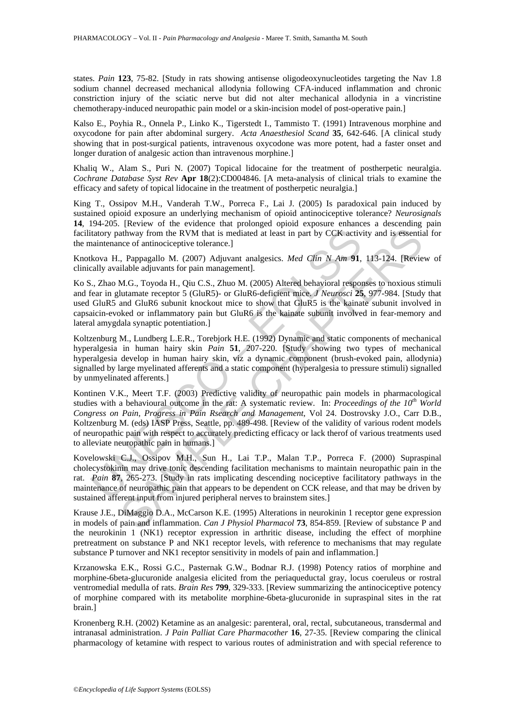states. *Pain* **123**, 75-82. [Study in rats showing antisense oligodeoxynucleotides targeting the Nav 1.8 sodium channel decreased mechanical allodynia following CFA-induced inflammation and chronic constriction injury of the sciatic nerve but did not alter mechanical allodynia in a vincristine chemotherapy-induced neuropathic pain model or a skin-incision model of post-operative pain.]

Kalso E., Poyhia R., Onnela P., Linko K., Tigerstedt I., Tammisto T. (1991) Intravenous morphine and oxycodone for pain after abdominal surgery. *Acta Anaesthesiol Scand* **35**, 642-646. [A clinical study showing that in post-surgical patients, intravenous oxycodone was more potent, had a faster onset and longer duration of analgesic action than intravenous morphine.]

Khaliq W., Alam S., Puri N. (2007) Topical lidocaine for the treatment of postherpetic neuralgia. *Cochrane Database Syst Rev* **Apr 18**(2):CD004846. [A meta-analysis of clinical trials to examine the efficacy and safety of topical lidocaine in the treatment of postherpetic neuralgia.]

King T., Ossipov M.H., Vanderah T.W., Porreca F., Lai J. (2005) Is paradoxical pain induced by sustained opioid exposure an underlying mechanism of opioid antinociceptive tolerance? *Neurosignals* **14**, 194-205. [Review of the evidence that prolonged opioid exposure enhances a descending pain facilitatory pathway from the RVM that is mediated at least in part by CCK activity and is essential for the maintenance of antinociceptive tolerance.]

Knotkova H., Pappagallo M. (2007) Adjuvant analgesics. *Med Clin N Am* **91**, 113-124. [Review of clinically available adjuvants for pain management].

Ko S., Zhao M.G., Toyoda H., Qiu C.S., Zhuo M. (2005) Altered behavioral responses to noxious stimuli and fear in glutamate receptor 5 (GluR5)- or GluR6-deficient mice. *J Neurosci* **25**, 977-984. [Study that used GluR5 and GluR6 subunit knockout mice to show that GluR5 is the kainate subunit involved in capsaicin-evoked or inflammatory pain but GluR6 is the kainate subunit involved in fear-memory and lateral amygdala synaptic potentiation.]

Koltzenburg M., Lundberg L.E.R., Torebjork H.E. (1992) Dynamic and static components of mechanical hyperalgesia in human hairy skin *Pain* **51**, 207-220. [Study showing two types of mechanical hyperalgesia develop in human hairy skin, viz a dynamic component (brush-evoked pain, allodynia) signalled by large myelinated afferents and a static component (hyperalgesia to pressure stimuli) signalled by unmyelinated afferents.]

itatory pathway from the RVM that is mediated at least in part by CCK active<br>naintenance of antinociceptive tolerance.]<br>Kova H., Pappagallo M. (2007) Adjuvant analgesics. *Med Clin N Am* 91,<br>c., Zhao M.G., Toyad H., Qin C change mylimated afferents and a static component (byeralgesia to present).<br>
Lab Papagalo M. (2007) Adjuvant analgesiss. *Med Clin N Am* **91**, 113-124. [Review and buy component]. Papagalo M. (2007) Adjuvant analgesiss. Kontinen V.K., Meert T.F. (2003) Predictive validity of neuropathic pain models in pharmacological studies with a behavioural outcome in the rat: A systematic review. In: *Proceedings of the 10th World Congress on Pain, Progress in Pain Rsearch and Management*, Vol 24. Dostrovsky J.O., Carr D.B., Koltzenburg M. (eds) IASP Press, Seattle, pp. 489-498. [Review of the validity of various rodent models of neuropathic pain with respect to accurately predicting efficacy or lack therof of various treatments used to alleviate neuropathic pain in humans.]

Kovelowski C.J., Ossipov M.H., Sun H., Lai T.P., Malan T.P., Porreca F. (2000) Supraspinal cholecystokinin may drive tonic descending facilitation mechanisms to maintain neuropathic pain in the rat. *Pain* **87**, 265-273. [Study in rats implicating descending nociceptive facilitatory pathways in the maintenance of neuropathic pain that appears to be dependent on CCK release, and that may be driven by sustained afferent input from injured peripheral nerves to brainstem sites.]

Krause J.E., DiMaggio D.A., McCarson K.E. (1995) Alterations in neurokinin 1 receptor gene expression in models of pain and inflammation. *Can J Physiol Pharmacol* **73**, 854-859. [Review of substance P and the neurokinin 1 (NK1) receptor expression in arthritic disease, including the effect of morphine pretreatment on substance P and NK1 receptor levels, with reference to mechanisms that may regulate substance P turnover and NK1 receptor sensitivity in models of pain and inflammation.]

Krzanowska E.K., Rossi G.C., Pasternak G.W., Bodnar R.J. (1998) Potency ratios of morphine and morphine-6beta-glucuronide analgesia elicited from the periaqueductal gray, locus coeruleus or rostral ventromedial medulla of rats. *Brain Res* **799**, 329-333. [Review summarizing the antinociceptive potency of morphine compared with its metabolite morphine-6beta-glucuronide in supraspinal sites in the rat brain.]

Kronenberg R.H. (2002) Ketamine as an analgesic: parenteral, oral, rectal, subcutaneous, transdermal and intranasal administration. *J Pain Palliat Care Pharmacother* **16**, 27-35. [Review comparing the clinical pharmacology of ketamine with respect to various routes of administration and with special reference to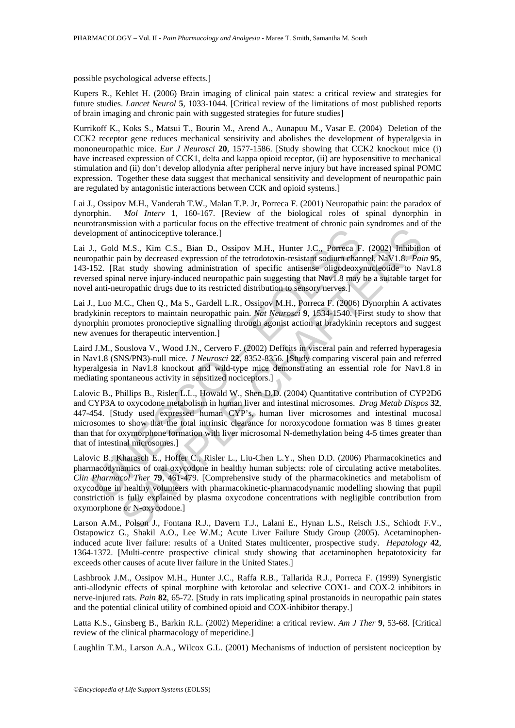#### possible psychological adverse effects.]

Kupers R., Kehlet H. (2006) Brain imaging of clinical pain states: a critical review and strategies for future studies. *Lancet Neurol* **5**, 1033-1044. [Critical review of the limitations of most published reports of brain imaging and chronic pain with suggested strategies for future studies]

Kurrikoff K., Koks S., Matsui T., Bourin M., Arend A., Aunapuu M., Vasar E. (2004) Deletion of the CCK2 receptor gene reduces mechanical sensitivity and abolishes the development of hyperalgesia in mononeuropathic mice. *Eur J Neurosci* **20**, 1577-1586. [Study showing that CCK2 knockout mice (i) have increased expression of CCK1, delta and kappa opioid receptor, (ii) are hyposensitive to mechanical stimulation and (ii) don't develop allodynia after peripheral nerve injury but have increased spinal POMC expression. Together these data suggest that mechanical sensitivity and development of neuropathic pain are regulated by antagonistic interactions between CCK and opioid systems.]

Lai J., Ossipov M.H., Vanderah T.W., Malan T.P. Jr, Porreca F. (2001) Neuropathic pain: the paradox of dynorphin. *Mol Interv* **1**, 160-167. [Review of the biological roles of spinal dynorphin in neurotransmission with a particular focus on the effective treatment of chronic pain syndromes and of the development of antinociceptive tolerance.]

Lai J., Gold M.S., Kim C.S., Bian D., Ossipov M.H., Hunter J.C., Porreca F. (2002) Inhibition of neuropathic pain by decreased expression of the tetrodotoxin-resistant sodium channel, NaV1.8. *Pain* **95**, 143-152. [Rat study showing administration of specific antisense oligodeoxynucleotide to Nav1.8 reversed spinal nerve injury-induced neuropathic pain suggesting that Nav1.8 may be a suitable target for novel anti-neuropathic drugs due to its restricted distribution to sensory nerves.]

Lai J., Luo M.C., Chen Q., Ma S., Gardell L.R., Ossipov M.H., Porreca F. (2006) Dynorphin A activates bradykinin receptors to maintain neuropathic pain. *Nat Neurosci* **9**, 1534-1540. [First study to show that dynorphin promotes pronocieptive signalling through agonist action at bradykinin receptors and suggest new avenues for therapeutic intervention.]

Laird J.M., Souslova V., Wood J.N., Cervero F. (2002) Deficits in visceral pain and referred hyperagesia in Nav1.8 (SNS/PN3)-null mice*. J Neurosci* **22**, 8352-8356. [Study comparing visceral pain and referred hyperalgesia in Nav1.8 knockout and wild-type mice demonstrating an essential role for Nav1.8 in mediating spontaneous activity in sensitized nociceptors.]

Ioment of antinociceptive tolerance.]<br>
U., Gold M.S., Kim C.S., Bian D., Ossipov M.H., Hunter J.C., Porreca F.<br>
15.1. Gold M.S., Kim C.S., Bian D., Ossipov M.H., Hunter J.C., Porreca F.<br>
152. [Rat study showing administrat of antinociceptive tolerance.]<br>
M.S., Kim C.S., Bian D., Ossipov M.H., Hunter J.C., Porreca F. (2002) Inhibitionial by decreased expression of the tertodotoxin-resistant sodium endamel, NaV1.8. Fair at at study showing adm Lalovic B., Phillips B., Risler L.L., Howald W., Shen D.D. (2004) Quantitative contribution of CYP2D6 and CYP3A to oxycodone metabolism in human liver and intestinal microsomes. *Drug Metab Dispos* **32**, 447-454. [Study used expressed human CYP's, human liver microsomes and intestinal mucosal microsomes to show that the total intrinsic clearance for noroxycodone formation was 8 times greater than that for oxymorphone formation with liver microsomal N-demethylation being 4-5 times greater than that of intestinal microsomes.]

Lalovic B., Kharasch E., Hoffer C., Risler L., Liu-Chen L.Y., Shen D.D. (2006) Pharmacokinetics and pharmacodynamics of oral oxycodone in healthy human subjects: role of circulating active metabolites. *Clin Pharmacol Ther* **79**, 461-479. [Comprehensive study of the pharmacokinetics and metabolism of oxycodone in healthy volunteers with pharmacokinetic-pharmacodynamic modelling showing that pupil constriction is fully explained by plasma oxycodone concentrations with negligible contribution from oxymorphone or N-oxycodone.]

Larson A.M., Polson J., Fontana R.J., Davern T.J., Lalani E., Hynan L.S., Reisch J.S., Schiodt F.V., Ostapowicz G., Shakil A.O., Lee W.M.; Acute Liver Failure Study Group (2005). Acetaminopheninduced acute liver failure: results of a United States multicenter, prospective study. *Hepatology* **42**, 1364-1372. [Multi-centre prospective clinical study showing that acetaminophen hepatotoxicity far exceeds other causes of acute liver failure in the United States.]

Lashbrook J.M., Ossipov M.H., Hunter J.C., Raffa R.B., Tallarida R.J., Porreca F. (1999) Synergistic anti-allodynic effects of spinal morphine with ketorolac and selective COX1- and COX-2 inhibitors in nerve-injured rats. *Pain* **82**, 65-72. [Study in rats implicating spinal prostanoids in neuropathic pain states and the potential clinical utility of combined opioid and COX-inhibitor therapy.]

Latta K.S., Ginsberg B., Barkin R.L. (2002) Meperidine: a critical review. *Am J Ther* **9**, 53-68. [Critical review of the clinical pharmacology of meperidine.]

Laughlin T.M., Larson A.A., Wilcox G.L. (2001) Mechanisms of induction of persistent nociception by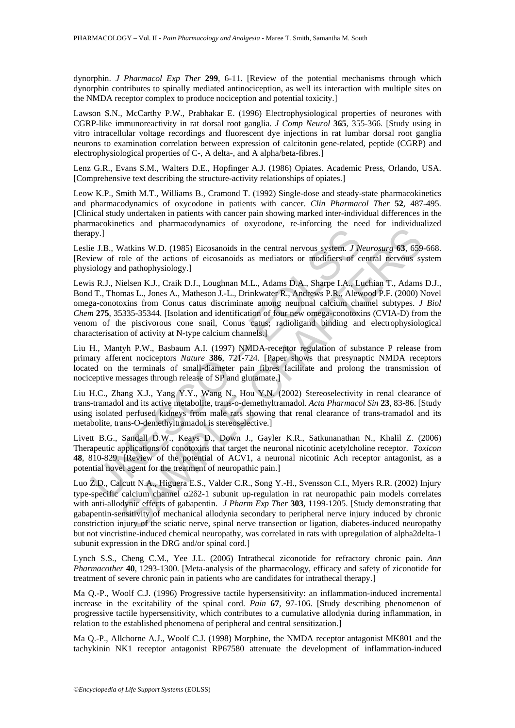dynorphin. *J Pharmacol Exp Ther* **299**, 6-11. [Review of the potential mechanisms through which dynorphin contributes to spinally mediated antinociception, as well its interaction with multiple sites on the NMDA receptor complex to produce nociception and potential toxicity.]

Lawson S.N., McCarthy P.W., Prabhakar E. (1996) Electrophysiological properties of neurones with CGRP-like immunoreactivity in rat dorsal root ganglia. *J Comp Neurol* **365**, 355-366. [Study using in vitro intracellular voltage recordings and fluorescent dye injections in rat lumbar dorsal root ganglia neurons to examination correlation between expression of calcitonin gene-related, peptide (CGRP) and electrophysiological properties of C-, A delta-, and A alpha/beta-fibres.]

Lenz G.R., Evans S.M., Walters D.E., Hopfinger A.J. (1986) Opiates. Academic Press, Orlando, USA. [Comprehensive text describing the structure-activity relationships of opiates.]

Leow K.P., Smith M.T., Williams B., Cramond T. (1992) Single-dose and steady-state pharmacokinetics and pharmacodynamics of oxycodone in patients with cancer. *Clin Pharmacol Ther* **52**, 487-495. [Clinical study undertaken in patients with cancer pain showing marked inter-individual differences in the pharmacokinetics and pharmacodynamics of oxycodone, re-inforcing the need for individualized therapy.]

Leslie J.B., Watkins W.D. (1985) Eicosanoids in the central nervous system. *J Neurosurg* **63**, 659-668. [Review of role of the actions of eicosanoids as mediators or modifiers of central nervous system physiology and pathophysiology.]

py.]<br>
e J.B., Watkins W.D. (1985) Eicosanoids in the central nervous system. *J N*<br>
eiew of role of the actions of eicosanoids as mediators or modifiers of<br>
ciology and pathophysiology.]<br>
is R.J., Nielsen K.J., Craik D.J., **EXAMPLE CONSTRAINER CONSUMPLE CONSUMPLE CONSUMPLE CONSUMPLE (1997)**<br>
Makins W.D. (1985) Eicosanoids as mediators or modifiers of central nervous system of the actions of eicosanoids as mediators or modifiers of central n Lewis R.J., Nielsen K.J., Craik D.J., Loughnan M.L., Adams D.A., Sharpe I.A., Luchian T., Adams D.J., Bond T., Thomas L., Jones A., Matheson J.-L., Drinkwater R., Andrews P.R., Alewood P.F. (2000) Novel omega-conotoxins from Conus catus discriminate among neuronal calcium channel subtypes. *J Biol Chem* **275**, 35335-35344. [Isolation and identification of four new omega-conotoxins (CVIA-D) from the venom of the piscivorous cone snail, Conus catus; radioligand binding and electrophysiological characterisation of activity at N-type calcium channels.]

Liu H., Mantyh P.W., Basbaum A.I. (1997) NMDA-receptor regulation of substance P release from primary afferent nociceptors *Nature* **386**, 721-724. [Paper shows that presynaptic NMDA receptors located on the terminals of small-diameter pain fibres facilitate and prolong the transmission of nociceptive messages through release of SP and glutamate.]

Liu H.C., Zhang X.J., Yang Y.Y., Wang N., Hou Y.N. (2002) Stereoselectivity in renal clearance of trans-tramadol and its active metabolite, trans-o-demethyltramadol. *Acta Pharmacol Sin* **23**, 83-86. [Study using isolated perfused kidneys from male rats showing that renal clearance of trans-tramadol and its metabolite, trans-O-demethyltramadol is stereoselective.]

Livett B.G., Sandall D.W., Keays D., Down J., Gayler K.R., Satkunanathan N., Khalil Z. (2006) Therapeutic applications of conotoxins that target the neuronal nicotinic acetylcholine receptor. *Toxicon* **48**, 810-829. [Review of the potential of ACV1, a neuronal nicotinic Ach receptor antagonist, as a potential novel agent for the treatment of neuropathic pain.]

Luo Z.D., Calcutt N.A., Higuera E.S., Valder C.R., Song Y.-H., Svensson C.I., Myers R.R. (2002) Injury type-specific calcium channel α2δ2-1 subunit up-regulation in rat neuropathic pain models correlates with anti-allodynic effects of gabapentin. *J Pharm Exp Ther* **303**, 1199-1205. [Study demonstrating that gabapentin-sensitivity of mechanical allodynia secondary to peripheral nerve injury induced by chronic constriction injury of the sciatic nerve, spinal nerve transection or ligation, diabetes-induced neuropathy but not vincristine-induced chemical neuropathy, was correlated in rats with upregulation of alpha2delta-1 subunit expression in the DRG and/or spinal cord.]

Lynch S.S., Cheng C.M., Yee J.L. (2006) Intrathecal ziconotide for refractory chronic pain. *Ann Pharmacother* **40**, 1293-1300. [Meta-analysis of the pharmacology, efficacy and safety of ziconotide for treatment of severe chronic pain in patients who are candidates for intrathecal therapy.]

Ma Q.-P., Woolf C.J. (1996) Progressive tactile hypersensitivity: an inflammation-induced incremental increase in the excitability of the spinal cord. *Pain* **67**, 97-106. [Study describing phenomenon of progressive tactile hypersensitivity, which contributes to a cumulative allodynia during inflammation, in relation to the established phenomena of peripheral and central sensitization.]

Ma Q.-P., Allchorne A.J., Woolf C.J. (1998) Morphine, the NMDA receptor antagonist MK801 and the tachykinin NK1 receptor antagonist RP67580 attenuate the development of inflammation-induced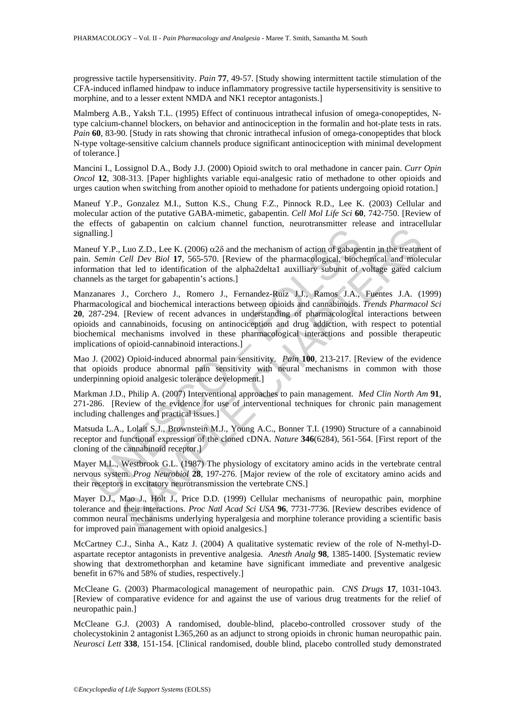progressive tactile hypersensitivity. *Pain* **77**, 49-57. [Study showing intermittent tactile stimulation of the CFA-induced inflamed hindpaw to induce inflammatory progressive tactile hypersensitivity is sensitive to morphine, and to a lesser extent NMDA and NK1 receptor antagonists.]

Malmberg A.B., Yaksh T.L. (1995) Effect of continuous intrathecal infusion of omega-conopeptides, Ntype calcium-channel blockers, on behavior and antinociception in the formalin and hot-plate tests in rats. *Pain* **60**, 83-90. [Study in rats showing that chronic intrathecal infusion of omega-conopeptides that block N-type voltage-sensitive calcium channels produce significant antinociception with minimal development of tolerance.]

Mancini I., Lossignol D.A., Body J.J. (2000) Opioid switch to oral methadone in cancer pain. *Curr Opin Oncol* **12**, 308-313. [Paper highlights variable equi-analgesic ratio of methadone to other opioids and urges caution when switching from another opioid to methadone for patients undergoing opioid rotation.]

Maneuf Y.P., Gonzalez M.I., Sutton K.S., Chung F.Z., Pinnock R.D., Lee K. (2003) Cellular and molecular action of the putative GABA-mimetic, gabapentin. *Cell Mol Life Sci* **60**, 742-750. [Review of the effects of gabapentin on calcium channel function, neurotransmitter release and intracellular signalling.]

Maneuf Y.P., Luo Z.D., Lee K. (2006)  $\alpha$ 2 $\delta$  and the mechanism of action of gabapentin in the treatment of pain. *Semin Cell Dev Biol* **17**, 565-570. [Review of the pharmacological, biochemical and molecular information that led to identification of the alpha2delta1 auxilliary subunit of voltage gated calcium channels as the target for gabapentin's actions.]

alling.]<br>
ulting.]<br>
ulting.]<br>
uctive P.P., Luo Z.D., Lee K. (2006)  $\alpha$ 28 and the mechanism of action of gabape<br>
semin Cell Dev Biol 11, 565-570. [Review of the pharmacological, bioch<br>
mation that led to identification of Example 1.1 (1.5 (2006) and the mechanism of action of gabapentin in the treatmet<br>
Luo Z.D., Lee K. (2006)  $\alpha$ 28-570). Review of the pharacological, bifochemical and mole<br>
that led to identification of the pharacological Manzanares J., Corchero J., Romero J., Fernandez-Ruiz J.J., Ramos J.A., Fuentes J.A. (1999) Pharmacological and biochemical interactions between opioids and cannabinoids. *Trends Pharmacol Sci* **20**, 287-294. [Review of recent advances in understanding of pharmacological interactions between opioids and cannabinoids, focusing on antinociception and drug addiction, with respect to potential biochemical mechanisms involved in these pharmacological interactions and possible therapeutic implications of opioid-cannabinoid interactions.]

Mao J. (2002) Opioid-induced abnormal pain sensitivity. *Pain* **100**, 213-217. [Review of the evidence that opioids produce abnormal pain sensitivity with neural mechanisms in common with those underpinning opioid analgesic tolerance development.]

Markman J.D., Philip A. (2007) Interventional approaches to pain management. *Med Clin North Am* **91**, 271-286. [Review of the evidence for use of interventional techniques for chronic pain management including challenges and practical issues.]

Matsuda L.A., Lolait S.J., Brownstein M.J., Young A.C., Bonner T.I. (1990) Structure of a cannabinoid receptor and functional expression of the cloned cDNA. *Nature* **346**(6284), 561-564. [First report of the cloning of the cannabinoid receptor.]

Mayer M.L., Westbrook G.L. (1987) The physiology of excitatory amino acids in the vertebrate central nervous system. *Prog Neurobiol* **28**, 197-276. [Major review of the role of excitatory amino acids and their receptors in excitatory neurotransmission the vertebrate CNS.]

Mayer D.J., Mao J., Holt J., Price D.D. (1999) Cellular mechanisms of neuropathic pain, morphine tolerance and their interactions. *Proc Natl Acad Sci USA* **96**, 7731-7736. [Review describes evidence of common neural mechanisms underlying hyperalgesia and morphine tolerance providing a scientific basis for improved pain management with opioid analgesics.]

McCartney C.J., Sinha A., Katz J. (2004) A qualitative systematic review of the role of N-methyl-Daspartate receptor antagonists in preventive analgesia. *Anesth Analg* **98**, 1385-1400. [Systematic review showing that dextromethorphan and ketamine have significant immediate and preventive analgesic benefit in 67% and 58% of studies, respectively.]

McCleane G. (2003) Pharmacological management of neuropathic pain. *CNS Drugs* **17**, 1031-1043. [Review of comparative evidence for and against the use of various drug treatments for the relief of neuropathic pain.]

McCleane G.J. (2003) A randomised, double-blind, placebo-controlled crossover study of the cholecystokinin 2 antagonist L365,260 as an adjunct to strong opioids in chronic human neuropathic pain. *Neurosci Lett* **338**, 151-154. [Clinical randomised, double blind, placebo controlled study demonstrated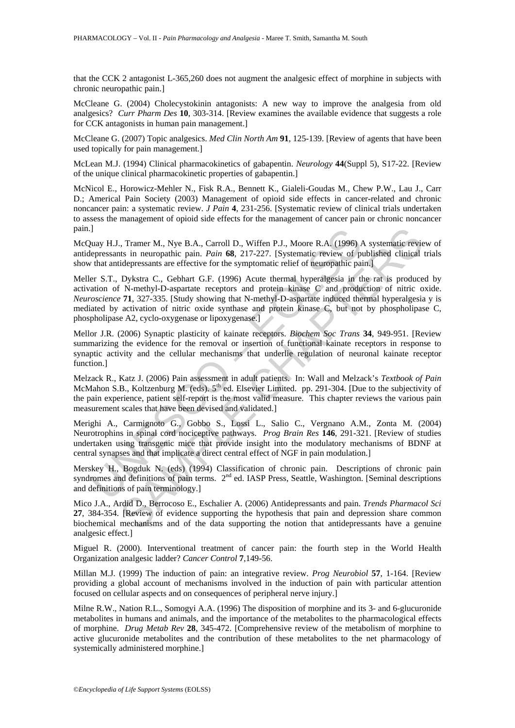that the CCK 2 antagonist L-365,260 does not augment the analgesic effect of morphine in subjects with chronic neuropathic pain.]

McCleane G. (2004) Cholecystokinin antagonists: A new way to improve the analgesia from old analgesics? *Curr Pharm Des* **10**, 303-314. [Review examines the available evidence that suggests a role for CCK antagonists in human pain management.]

McCleane G. (2007) Topic analgesics. *Med Clin North Am* **91**, 125-139. [Review of agents that have been used topically for pain management.]

McLean M.J. (1994) Clinical pharmacokinetics of gabapentin. *Neurology* **44**(Suppl 5), S17-22. [Review of the unique clinical pharmacokinetic properties of gabapentin.]

McNicol E., Horowicz-Mehler N., Fisk R.A., Bennett K., Gialeli-Goudas M., Chew P.W., Lau J., Carr D.; Americal Pain Society (2003) Management of opioid side effects in cancer-related and chronic noncancer pain: a systematic review. *J Pain* **4**, 231-256. [Systematic review of clinical trials undertaken to assess the management of opioid side effects for the management of cancer pain or chronic noncancer pain.]

McQuay H.J., Tramer M., Nye B.A., Carroll D., Wiffen P.J., Moore R.A. (1996) A systematic review of antidepressants in neuropathic pain. *Pain* **68**, 217-227. [Systematic review of published clinical trials show that antidepressants are effective for the symptomatic relief of neuropathic pain.]

J<br>
uny H.J., Tramer M., Nye B.A., Carroll D., Wiffen P.J., Moore R.A. (1996)  $\mu$ <br>
uepressants in neuropathic pain. Pain 68, 217-227. [Systematic review of p<br>
that antidepressants are effective for the symptomatic relief , Tramer M., Nye B.A., Carroll D., Wiffen P.J., Moore R.A. (1996) A systematic revists in neuropathic pain. Pain 68, 217-227. [Systematic review of published clinical idepressants are effective for the symptomatic relief Meller S.T., Dykstra C., Gebhart G.F. (1996) Acute thermal hyperalgesia in the rat is produced by activation of N-methyl-D-aspartate receptors and protein kinase C and production of nitric oxide. *Neuroscience* **71**, 327-335. [Study showing that N-methyl-D-aspartate induced thermal hyperalgesia y is mediated by activation of nitric oxide synthase and protein kinase C, but not by phospholipase C, phospholipase A2, cyclo-oxygenase or lipoxygenase.]

Mellor J.R. (2006) Synaptic plasticity of kainate receptors. *Biochem Soc Trans* **34**, 949-951. [Review summarizing the evidence for the removal or insertion of functional kainate receptors in response to synaptic activity and the cellular mechanisms that underlie regulation of neuronal kainate receptor function.]

Melzack R., Katz J. (2006) Pain assessment in adult patients. In: Wall and Melzack's *Textbook of Pain* McMahon S.B., Koltzenburg M. (eds). 5<sup>th</sup> ed. Elsevier Limited. pp. 291-304. [Due to the subjectivity of the pain experience, patient self-report is the most valid measure. This chapter reviews the various pain measurement scales that have been devised and validated.]

Merighi A., Carmignoto G., Gobbo S., Lossi L., Salio C., Vergnano A.M., Zonta M. (2004) Neurotrophins in spinal cord nociceptive pathways. *Prog Brain Res* **146**, 291-321. [Review of studies undertaken using transgenic mice that provide insight into the modulatory mechanisms of BDNF at central synapses and that implicate a direct central effect of NGF in pain modulation.]

Merskey H., Bogduk N. (eds) (1994) Classification of chronic pain. Descriptions of chronic pain syndromes and definitions of pain terms. 2<sup>nd</sup> ed. IASP Press, Seattle, Washington. [Seminal descriptions] and definitions of pain terminology.]

Mico J.A., Ardid D., Berrocoso E., Eschalier A. (2006) Antidepressants and pain. *Trends Pharmacol Sci* **27**, 384-354. [Review of evidence supporting the hypothesis that pain and depression share common biochemical mechanisms and of the data supporting the notion that antidepressants have a genuine analgesic effect.]

Miguel R. (2000). Interventional treatment of cancer pain: the fourth step in the World Health Organization analgesic ladder? *Cancer Control* **7**,149-56.

Millan M.J. (1999) The induction of pain: an integrative review. *Prog Neurobiol* **57**, 1-164. [Review providing a global account of mechanisms involved in the induction of pain with particular attention focused on cellular aspects and on consequences of peripheral nerve injury.]

Milne R.W., Nation R.L., Somogyi A.A. (1996) The disposition of morphine and its 3- and 6-glucuronide metabolites in humans and animals, and the importance of the metabolites to the pharmacological effects of morphine. *Drug Metab Rev* **28**, 345-472. [Comprehensive review of the metabolism of morphine to active glucuronide metabolites and the contribution of these metabolites to the net pharmacology of systemically administered morphine.]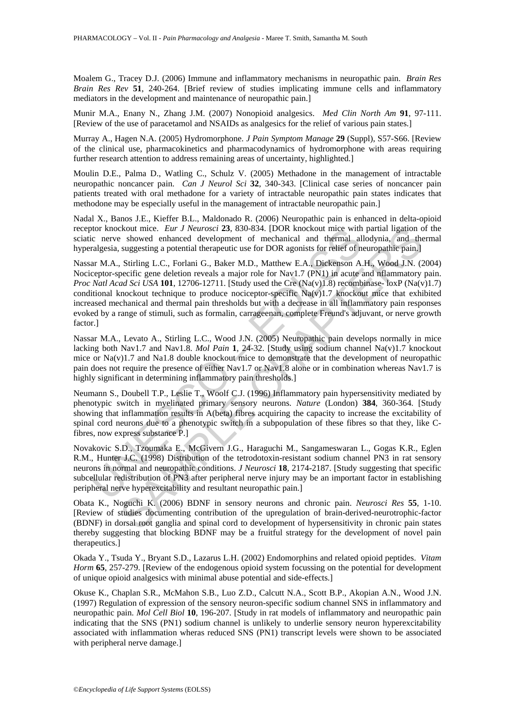Moalem G., Tracey D.J. (2006) Immune and inflammatory mechanisms in neuropathic pain. *Brain Res Brain Res Rev* **51**, 240-264. [Brief review of studies implicating immune cells and inflammatory mediators in the development and maintenance of neuropathic pain.]

Munir M.A., Enany N., Zhang J.M. (2007) Nonopioid analgesics. *Med Clin North Am* **91**, 97-111. [Review of the use of paracetamol and NSAIDs as analgesics for the relief of various pain states.]

Murray A., Hagen N.A. (2005) Hydromorphone. *J Pain Symptom Manage* **29** (Suppl), S57-S66. [Review of the clinical use, pharmacokinetics and pharmacodynamics of hydromorphone with areas requiring further research attention to address remaining areas of uncertainty, highlighted.]

Moulin D.E., Palma D., Watling C., Schulz V. (2005) Methadone in the management of intractable neuropathic noncancer pain. *Can J Neurol Sci* **32**, 340-343. [Clinical case series of noncancer pain patients treated with oral methadone for a variety of intractable neuropathic pain states indicates that methodone may be especially useful in the management of intractable neuropathic pain.]

Nadal X., Banos J.E., Kieffer B.L., Maldonado R. (2006) Neuropathic pain is enhanced in delta-opioid receptor knockout mice. *Eur J Neurosci* **23**, 830-834. [DOR knockout mice with partial ligation of the sciatic nerve showed enhanced development of mechanical and thermal allodynia, and thermal hyperalgesia, suggesting a potential therapeutic use for DOR agonists for relief of neuropathic pain.]

brockut mice. *Eur J Neurosci* 23, 830-834. [DOR knockut mice with<br>tic nerve showed enhanced development of mechanical and thermal al<br>ralgesia, suggesting a potential tenepeutic use for DOR agonists for relief of n<br>ar M.A. Extrainer. *Eur J Neurosci* 23, 830-834. [DOR knockout mice with partial ligation consideration and the suggesting a potential ligation energy and the suggesting a potential derapeutic use for DOR agonists for relief of n Nassar M.A., Stirling L.C., Forlani G., Baker M.D., Matthew E.A., Dickenson A.H., Wood J.N. (2004) Nociceptor-specific gene deletion reveals a major role for Nav1.7 (PN1) in acute and nflammatory pain. *Proc Natl Acad Sci USA* **101**, 12706-12711. [Study used the Cre (Na(v)1.8) recombinase- loxP (Na(v)1.7) conditional knockout technique to produce nociceptor-specific Na(v)1.7 knockout mice that exhibited increased mechanical and thermal pain thresholds but with a decrease in all inflammatory pain responses evoked by a range of stimuli, such as formalin, carrageenan, complete Freund's adjuvant, or nerve growth factor.]

Nassar M.A., Levato A., Stirling L.C., Wood J.N. (2005) Neuropathic pain develops normally in mice lacking both Nav1.7 and Nav1.8. *Mol Pain* **1**, 24-32. [Study using sodium channel Na(v)1.7 knockout mice or Na(v)1.7 and Na1.8 double knockout mice to demonstrate that the development of neuropathic pain does not require the presence of either Nav1.7 or Nav1.8 alone or in combination whereas Nav1.7 is highly significant in determining inflammatory pain thresholds.

Neumann S., Doubell T.P., Leslie T., Woolf C.J. (1996) Inflammatory pain hypersensitivity mediated by phenotypic switch in myelinated primary sensory neurons. *Nature* (London) **384**, 360-364. [Study showing that inflammation results in A(beta) fibres acquiring the capacity to increase the excitability of spinal cord neurons due to a phenotypic switch in a subpopulation of these fibres so that they, like Cfibres, now express substance P.]

Novakovic S.D., Tzoumaka E., McGivern J.G., Haraguchi M., Sangameswaran L., Gogas K.R., Eglen R.M., Hunter J.C. (1998) Distribution of the tetrodotoxin-resistant sodium channel PN3 in rat sensory neurons in normal and neuropathic conditions. *J Neurosci* **18**, 2174-2187. [Study suggesting that specific subcellular redistribution of PN3 after peripheral nerve injury may be an important factor in establishing peripheral nerve hyperexcitability and resultant neuropathic pain.]

Obata K., Noguchi K. (2006) BDNF in sensory neurons and chronic pain. *Neurosci Res* **55**, 1-10. [Review of studies documenting contribution of the upregulation of brain-derived-neurotrophic-factor (BDNF) in dorsal root ganglia and spinal cord to development of hypersensitivity in chronic pain states thereby suggesting that blocking BDNF may be a fruitful strategy for the development of novel pain therapeutics.]

Okada Y., Tsuda Y., Bryant S.D., Lazarus L.H. (2002) Endomorphins and related opioid peptides. *Vitam Horm* **65**, 257-279. [Review of the endogenous opioid system focussing on the potential for development of unique opioid analgesics with minimal abuse potential and side-effects.]

Okuse K., Chaplan S.R., McMahon S.B., Luo Z.D., Calcutt N.A., Scott B.P., Akopian A.N., Wood J.N. (1997) Regulation of expression of the sensory neuron-specific sodium channel SNS in inflammatory and neuropathic pain. *Mol Cell Biol* **10**, 196-207. [Study in rat models of inflammatory and neuropathic pain indicating that the SNS (PN1) sodium channel is unlikely to underlie sensory neuron hyperexcitability associated with inflammation wheras reduced SNS (PN1) transcript levels were shown to be associated with peripheral nerve damage.]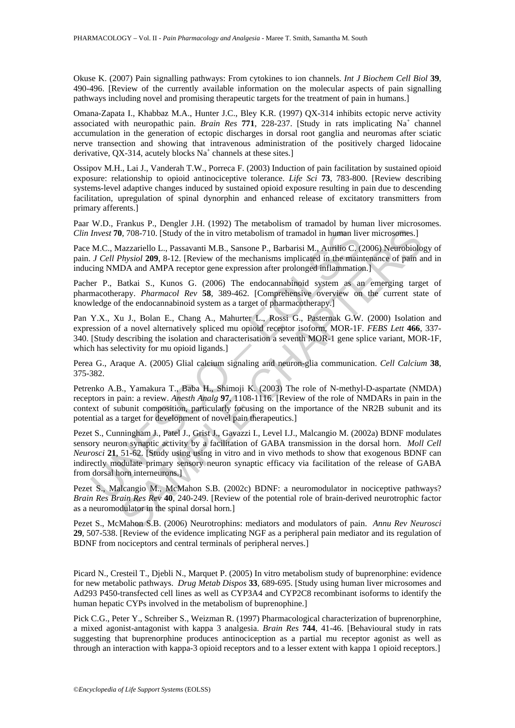Okuse K. (2007) Pain signalling pathways: From cytokines to ion channels. *Int J Biochem Cell Biol* **39**, 490-496. [Review of the currently available information on the molecular aspects of pain signalling pathways including novel and promising therapeutic targets for the treatment of pain in humans.]

Omana-Zapata I., Khabbaz M.A., Hunter J.C., Bley K.R. (1997) QX-314 inhibits ectopic nerve activity associated with neuropathic pain. *Brain Res* 771, 228-237. [Study in rats implicating Na<sup>+</sup> channel accumulation in the generation of ectopic discharges in dorsal root ganglia and neuromas after sciatic nerve transection and showing that intravenous administration of the positively charged lidocaine derivative, QX-314, acutely blocks  $Na<sup>+</sup>$  channels at these sites.]

Ossipov M.H., Lai J., Vanderah T.W., Porreca F. (2003) Induction of pain facilitation by sustained opioid exposure: relationship to opioid antinociceptive tolerance. *Life Sci* **73**, 783-800. [Review describing systems-level adaptive changes induced by sustained opioid exposure resulting in pain due to descending facilitation, upregulation of spinal dynorphin and enhanced release of excitatory transmitters from primary afferents.]

Paar W.D., Frankus P., Dengler J.H. (1992) The metabolism of tramadol by human liver microsomes. *Clin Invest* **70**, 708-710. [Study of the in vitro metabolism of tramadol in human liver microsomes.]

Pace M.C., Mazzariello L., Passavanti M.B., Sansone P., Barbarisi M., Aurilio C. (2006) Neurobiology of pain. *J Cell Physiol* **209**, 8-12. [Review of the mechanisms implicated in the maintenance of pain and in inducing NMDA and AMPA receptor gene expression after prolonged inflammation.]

Pacher P., Batkai S., Kunos G. (2006) The endocannabinoid system as an emerging target of pharmacotherapy. *Pharmacol Rev* **58**, 389-462. [Comprehensive overview on the current state of knowledge of the endocannabinoid system as a target of pharmacotherapy.]

Pan Y.X., Xu J., Bolan E., Chang A., Mahurter L., Rossi G., Pasternak G.W. (2000) Isolation and expression of a novel alternatively spliced mu opioid receptor isoform, MOR-1F. *FEBS Lett* **466**, 337- 340. [Study describing the isolation and characterisation a seventh MOR-1 gene splice variant, MOR-1F, which has selectivity for mu opioid ligands.]

Perea G., Araque A. (2005) Glial calcium signaling and neuron-glia communication. *Cell Calcium* **38**, 375-382.

Petrenko A.B., Yamakura T., Baba H., Shimoji K. (2003) The role of N-methyl-D-aspartate (NMDA) receptors in pain: a review. *Anesth Analg* **97**, 1108-1116. [Review of the role of NMDARs in pain in the context of subunit composition, particularly focusing on the importance of the NR2B subunit and its potential as a target for development of novel pain therapeutics.]

Invest 70, 708-710. [Study of the in vitro metabolism of tramadol in human liv M.C., Mazzariello L., Passavanti M.B., Sansone P., Barbarisi M., Aurilio C. (*J Cell Physiol* 209, 8-12. [Review of the mechanisms implicated i 0, 708-710. [Study of the niviro metabolism of tramadol in human liver microsomes.]<br>
aazzariello L., Passavanti M.B., Sansone P., Barbarisi M., Aurilio C. (2006) Neurobiolo,<br>  $P_{\text{D3}}$ SAS-12. [Review of the mechanisms im Pezet S., Cunningham J., Patel J., Grist J., Gavazzi I., Level I.J., Malcangio M. (2002a) BDNF modulates sensory neuron synaptic activity by a facilitation of GABA transmission in the dorsal horn. *Moll Cell Neurosci* **21**, 51-62. [Study using using in vitro and in vivo methods to show that exogenous BDNF can indirectly modulate primary sensory neuron synaptic efficacy via facilitation of the release of GABA from dorsal horn interneurons.]

Pezet S., Malcangio M., McMahon S.B. (2002c) BDNF: a neuromodulator in nociceptive pathways? *Brain Res Brain Res Rev* **40**, 240-249. [Review of the potential role of brain-derived neurotrophic factor as a neuromodulator in the spinal dorsal horn.]

Pezet S., McMahon S.B. (2006) Neurotrophins: mediators and modulators of pain. *Annu Rev Neurosci* **29**, 507-538. [Review of the evidence implicating NGF as a peripheral pain mediator and its regulation of BDNF from nociceptors and central terminals of peripheral nerves.]

Picard N., Cresteil T., Djebli N., Marquet P. (2005) In vitro metabolism study of buprenorphine: evidence for new metabolic pathways. *Drug Metab Dispos* **33**, 689-695. [Study using human liver microsomes and Ad293 P450-transfected cell lines as well as CYP3A4 and CYP2C8 recombinant isoforms to identify the human hepatic CYPs involved in the metabolism of buprenophine.]

Pick C.G., Peter Y., Schreiber S., Weizman R. (1997) Pharmacological characterization of buprenorphine, a mixed agonist-antagonist with kappa 3 analgesia. *Brain Res* **744**, 41-46. [Behavioural study in rats suggesting that buprenorphine produces antinociception as a partial mu receptor agonist as well as through an interaction with kappa-3 opioid receptors and to a lesser extent with kappa 1 opioid receptors.]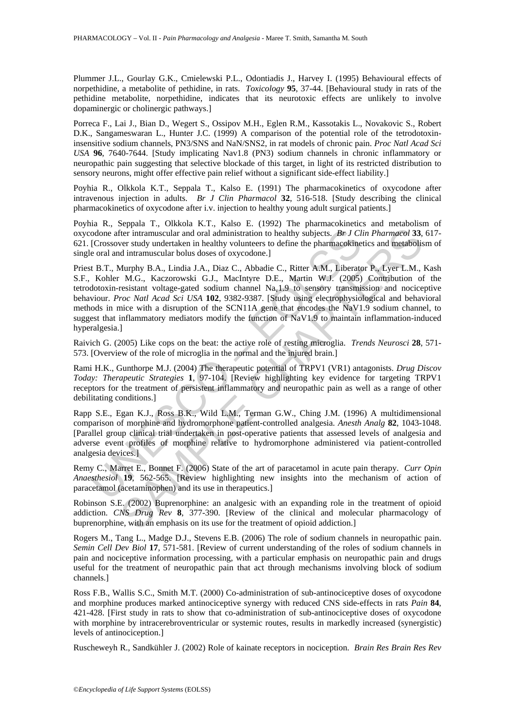Plummer J.L., Gourlay G.K., Cmielewski P.L., Odontiadis J., Harvey I. (1995) Behavioural effects of norpethidine, a metabolite of pethidine, in rats. *Toxicology* **95**, 37-44. [Behavioural study in rats of the pethidine metabolite, norpethidine, indicates that its neurotoxic effects are unlikely to involve dopaminergic or cholinergic pathways.]

Porreca F., Lai J., Bian D., Wegert S., Ossipov M.H., Eglen R.M., Kassotakis L., Novakovic S., Robert D.K., Sangameswaran L., Hunter J.C. (1999) A comparison of the potential role of the tetrodotoxininsensitive sodium channels, PN3/SNS and NaN/SNS2, in rat models of chronic pain. *Proc Natl Acad Sci USA* **96**, 7640-7644. [Study implicating Nav1.8 (PN3) sodium channels in chronic inflammatory or neuropathic pain suggesting that selective blockade of this target, in light of its restricted distribution to sensory neurons, might offer effective pain relief without a significant side-effect liability.]

Poyhia R., Olkkola K.T., Seppala T., Kalso E. (1991) The pharmacokinetics of oxycodone after intravenous injection in adults. *Br J Clin Pharmacol* **32**, 516-518. [Study describing the clinical pharmacokinetics of oxycodone after i.v. injection to healthy young adult surgical patients.]

Poyhia R., Seppala T., Olkkola K.T., Kalso E. (1992) The pharmacokinetics and metabolism of oxycodone after intramuscular and oral administration to healthy subjects. *Br J Clin Pharmacol* **33**, 617- 621. [Crossover study undertaken in healthy volunteers to define the pharmacokinetics and metabolism of single oral and intramuscular bolus doses of oxycodone.]

odone after intramuscular and oral administration to healthy subjects. *Br J CI*.<br>Crossover study undertaken in healthy voluteres to define the pharmacokine<br>oral and intramuscular bolus doses of oxycodone.]<br>
t B.T., Murphy Eter intrannuscular and oral administration to healthy subjects. *Br. J Clin Pharmacel* 33,<br>ther intrannuscular and oral administration to healthy subjects. *Br. J Clin Pharmacel* 33,<br>di intrannuscular holus doses of oxyc Priest B.T., Murphy B.A., Lindia J.A., Diaz C., Abbadie C., Ritter A.M., Liberator P., Lyer L.M., Kash S.F., Kohler M.G., Kaczorowski G.J., MacIntyre D.E., Martin W.J. (2005) Contribution of the tetrodotoxin-resistant voltage-gated sodium channel Nav1.9 to sensory transmission and nociceptive behaviour. *Proc Natl Acad Sci USA* **102**, 9382-9387. [Study using electrophysiological and behavioral methods in mice with a disruption of the SCN11A gene that encodes the NaV1.9 sodium channel, to suggest that inflammatory mediators modify the function of NaV1.9 to maintain inflammation-induced hyperalgesia.]

Raivich G. (2005) Like cops on the beat: the active role of resting microglia. *Trends Neurosci* **28**, 571- 573. [Overview of the role of microglia in the normal and the injured brain.]

Rami H.K., Gunthorpe M.J. (2004) The therapeutic potential of TRPV1 (VR1) antagonists. *Drug Discov Today: Therapeutic Strategies* **1**, 97-104. [Review highlighting key evidence for targeting TRPV1 receptors for the treatment of persistent inflammatory and neuropathic pain as well as a range of other debilitating conditions.]

Rapp S.E., Egan K.J., Ross B.K., Wild L.M., Terman G.W., Ching J.M. (1996) A multidimensional comparison of morphine and hydromorphone patient-controlled analgesia. *Anesth Analg* **82**, 1043-1048. [Parallel group clinical trial undertaken in post-operative patients that assessed levels of analgesia and adverse event profiles of morphine relative to hydromorphone administered via patient-controlled analgesia devices.]

Remy C., Marret E., Bonnet F. (2006) State of the art of paracetamol in acute pain therapy. *Curr Opin Anaesthesiol* **19**, 562-565. [Review highlighting new insights into the mechanism of action of paracetamol (acetaminophen) and its use in therapeutics.]

Robinson S.E. (2002) Buprenorphine: an analgesic with an expanding role in the treatment of opioid addiction. *CNS Drug Rev* **8**, 377-390. [Review of the clinical and molecular pharmacology of buprenorphine, with an emphasis on its use for the treatment of opioid addiction.]

Rogers M., Tang L., Madge D.J., Stevens E.B. (2006) The role of sodium channels in neuropathic pain. *Semin Cell Dev Biol* **17**, 571-581. [Review of current understanding of the roles of sodium channels in pain and nociceptive information processing, with a particular emphasis on neuropathic pain and drugs useful for the treatment of neuropathic pain that act through mechanisms involving block of sodium channels.]

Ross F.B., Wallis S.C., Smith M.T. (2000) Co-administration of sub-antinociceptive doses of oxycodone and morphine produces marked antinociceptive synergy with reduced CNS side-effects in rats *Pain* **84**, 421-428. [First study in rats to show that co-administration of sub-antinociceptive doses of oxycodone with morphine by intracerebroventricular or systemic routes, results in markedly increased (synergistic) levels of antinociception.]

Ruscheweyh R., Sandkühler J. (2002) Role of kainate receptors in nociception. *Brain Res Brain Res Rev*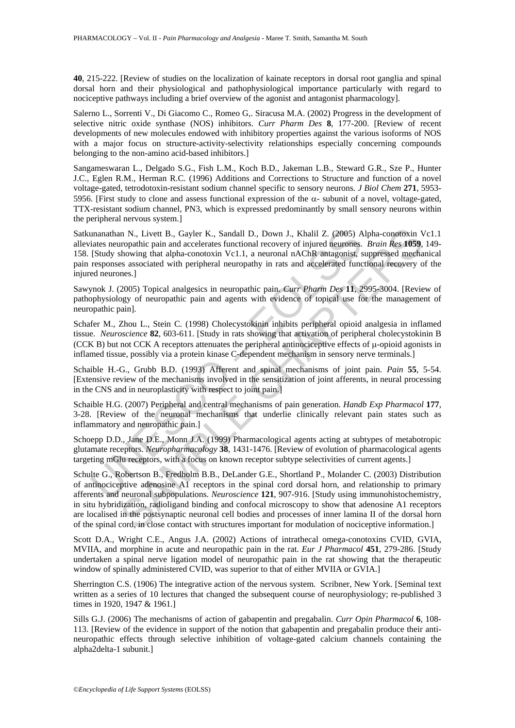**40**, 215-222. [Review of studies on the localization of kainate receptors in dorsal root ganglia and spinal dorsal horn and their physiological and pathophysiological importance particularly with regard to nociceptive pathways including a brief overview of the agonist and antagonist pharmacology].

Salerno L., Sorrenti V., Di Giacomo C., Romeo G,. Siracusa M.A. (2002) Progress in the development of selective nitric oxide synthase (NOS) inhibitors. *Curr Pharm Des* **8**, 177-200. [Review of recent developments of new molecules endowed with inhibitory properties against the various isoforms of NOS with a major focus on structure-activity-selectivity relationships especially concerning compounds belonging to the non-amino acid-based inhibitors.]

Sangameswaran L., Delgado S.G., Fish L.M., Koch B.D., Jakeman L.B., Steward G.R., Sze P., Hunter J.C., Eglen R.M., Herman R.C. (1996) Additions and Corrections to Structure and function of a novel voltage-gated, tetrodotoxin-resistant sodium channel specific to sensory neurons. *J Biol Chem* **271**, 5953- 5956. [First study to clone and assess functional expression of the α- subunit of a novel, voltage-gated, TTX-resistant sodium channel, PN3, which is expressed predominantly by small sensory neurons within the peripheral nervous system.]

unanathan N., Livett B., Gayler K., Sandall D., Down J., Khalil Z. (2005) A<br>iates neuropathic pain and accelerates functional recovery of injured neurones.<br>[Study showing that alpha-conotoxin Vc1.1, a neuronal nAChR antago Satkunanathan N., Livett B., Gayler K., Sandall D., Down J., Khalil Z. (2005) Alpha-conotoxin Vc1.1 alleviates neuropathic pain and accelerates functional recovery of injured neurones. *Brain Res* **1059**, 149- 158. [Study showing that alpha-conotoxin Vc1.1, a neuronal nAChR antagonist, suppressed mechanical pain responses associated with peripheral neuropathy in rats and accelerated functional recovery of the injured neurones.]

Sawynok J. (2005) Topical analgesics in neuropathic pain. *Curr Pharm Des* **11**, 2995-3004. [Review of pathophysiology of neuropathic pain and agents with evidence of topical use for the management of neuropathic pain].

Schafer M., Zhou L., Stein C. (1998) Cholecystokinin inhibits peripheral opioid analgesia in inflamed tissue. *Neuroscience* **82**, 603-611. [Study in rats showing that activation of peripheral cholecystokinin B (CCK B) but not CCK A receptors attenuates the peripheral antinociceptive effects of  $\mu$ -opioid agonists in inflamed tissue, possibly via a protein kinase C-dependent mechanism in sensory nerve terminals.]

Schaible H.-G., Grubb B.D. (1993) Afferent and spinal mechanisms of joint pain. *Pain* **55**, 5-54. [Extensive review of the mechanisms involved in the sensitization of joint afferents, in neural processing in the CNS and in neuroplasticity with respect to joint pain.]

Schaible H.G. (2007) Peripheral and central mechanisms of pain generation. *Handb Exp Pharmacol* **177**, 3-28. [Review of the neuronal mechanisms that underlie clinically relevant pain states such as inflammatory and neuropathic pain.]

Schoepp D.D., Jane D.E., Monn J.A. (1999) Pharmacological agents acting at subtypes of metabotropic glutamate receptors. *Neuropharmacology* **38**, 1431-1476. [Review of evolution of pharmacological agents targeting mGlu receptors, with a focus on known receptor subtype selectivities of current agents.]

In N., Livett B., Gayler K., Sandall D., Down J., Khalil Z. (2005) Alpha-conotoxin Voropathic pair and accelerates functional recovery of injured neurones. *Brain Resy* **105**)<br>holoning that alpha-conotoxin Vc1.1, a neuro Schulte G., Robertson B., Fredholm B.B., DeLander G.E., Shortland P., Molander C. (2003) Distribution of antinociceptive adenosine A1 receptors in the spinal cord dorsal horn, and relationship to primary afferents and neuronal subpopulations. *Neuroscience* **121**, 907-916. [Study using immunohistochemistry, in situ hybridization, radioligand binding and confocal microscopy to show that adenosine A1 receptors are localised in the postsynaptic neuronal cell bodies and processes of inner lamina II of the dorsal horn of the spinal cord, in close contact with structures important for modulation of nociceptive information.]

Scott D.A., Wright C.E., Angus J.A. (2002) Actions of intrathecal omega-conotoxins CVID, GVIA, MVIIA, and morphine in acute and neuropathic pain in the rat. *Eur J Pharmacol* **451**, 279-286. [Study undertaken a spinal nerve ligation model of neuropathic pain in the rat showing that the therapeutic window of spinally administered CVID, was superior to that of either MVIIA or GVIA.]

Sherrington C.S. (1906) The integrative action of the nervous system. Scribner, New York. [Seminal text written as a series of 10 lectures that changed the subsequent course of neurophysiology; re-published 3 times in 1920, 1947 & 1961.]

Sills G.J. (2006) The mechanisms of action of gabapentin and pregabalin. *Curr Opin Pharmacol* **6**, 108- 113. [Review of the evidence in support of the notion that gabapentin and pregabalin produce their antineuropathic effects through selective inhibition of voltage-gated calcium channels containing the alpha2delta-1 subunit.]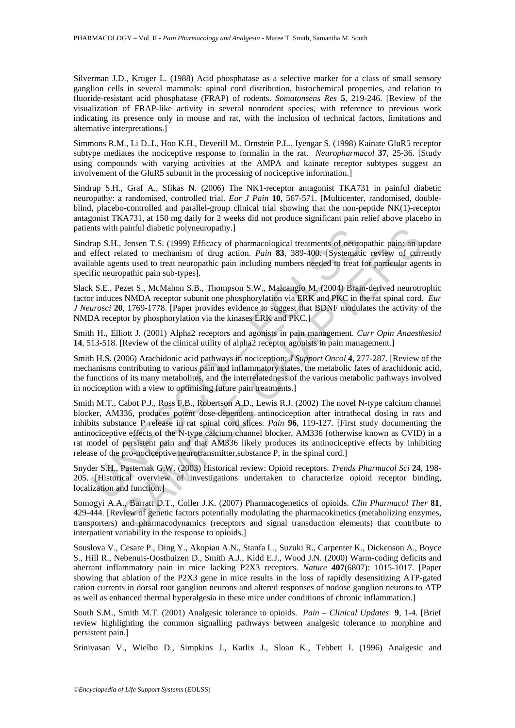Silverman J.D., Kruger L. (1988) Acid phosphatase as a selective marker for a class of small sensory ganglion cells in several mammals: spinal cord distribution, histochemical properties, and relation to fluoride-resistant acid phosphatase (FRAP) of rodents. *Somatonsens Res* **5**, 219-246. [Review of the visualization of FRAP-like activity in several nonrodent species, with reference to previous work indicating its presence only in mouse and rat, with the inclusion of technical factors, limitations and alternative interpretations.]

Simmons R.M., Li D..L, Hoo K.H., Deverill M., Ornstein P.L., Iyengar S. (1998) Kainate GluR5 receptor subtype mediates the nociceptive response to formalin in the rat. *Neuropharmacol* **37**, 25-36. [Study using compounds with varying activities at the AMPA and kainate receptor subtypes suggest an involvement of the GluR5 subunit in the processing of nociceptive information.]

Sindrup S.H., Graf A., Sfikas N. (2006) The NK1-receptor antagonist TKA731 in painful diabetic neuropathy: a randomised, controlled trial. *Eur J Pain* **10**, 567-571. [Multicenter, randomised, doubleblind, placebo-controlled and parallel-group clinical trial showing that the non-peptide NK(1)-receptor antagonist TKA731, at 150 mg daily for 2 weeks did not produce significant pain relief above placebo in patients with painful diabetic polyneuropathy.]

Sindrup S.H., Jensen T.S. (1999) Efficacy of pharmacological treatments of neuropathic pain: an update and effect related to mechanism of drug action. *Pain* **83**, 389-400. [Systematic review of currently available agents used to treat neuropathic pain including numbers needed to treat for particular agents in specific neuropathic pain sub-types].

Slack S.E., Pezet S., McMahon S.B., Thompson S.W., Malcangio M. (2004) Brain-derived neurotrophic factor induces NMDA receptor subunit one phosphorylation via ERK and PKC in the rat spinal cord. *Eur J Neurosci* **20**, 1769-1778. [Paper provides evidence to suggest that BDNF modulates the activity of the NMDA receptor by phosphorylation via the kinases ERK and PKC.]

Smith H., Elliott J. (2001) Alpha2 receptors and agonists in pain management. *Curr Opin Anaesthesiol* **14**, 513-518. [Review of the clinical utility of alpha2 receptor agonists in pain management.]

Smith H.S. (2006) Arachidonic acid pathways in nociception; *J Support Oncol* **4**, 277-287. [Review of the mechanisms contributing to various pain and inflammatory states, the metabolic fates of arachidonic acid, the functions of its many metabolites, and the interrelatedness of the various metabolic pathways involved in nociception with a view to optimising future pain treatments.]

nts with paintul diabetic polyneuropathy.]<br>
Elfrace, The Herence T.S. (1999) Efficacy of pharmacological treatments of neuro-<br>
effect related to mechanism of drug action. Pain 83, 389-400. [Systemati<br>
able agents used to t painful diabetic polyneuropathy.]<br>
Jensen T.S. (1999) Efficacy of pharmacological treatments of neuropathic pains an ulated to mechanism of drag action. *Pain* **a33**, 389-400. [Systematic review of currats used to treat n Smith M.T., Cabot P.J., Ross F.B., Robertson A.D., Lewis R.J. (2002) The novel N-type calcium channel blocker, AM336, produces potent dose-dependent antinociception after intrathecal dosing in rats and inhibits substance P release in rat spinal cord slices. *Pain* **96**, 119-127. [First study documenting the antinociceptive effects of the N-type calcium channel blocker, AM336 (otherwise known as CVID) in a rat model of persistent pain and that AM336 likely produces its antinociceptive effects by inhibiting release of the pro-nociceptive neurotransmitter,substance P, in the spinal cord.]

Snyder S.H., Pasternak G.W. (2003) Historical review: Opioid receptors. *Trends Pharmacol Sci* **24**, 198- 205. [Historical overview of investigations undertaken to characterize opioid receptor binding, localization and function.]

Somogyi A.A., Barratt D.T., Coller J.K. (2007) Pharmacogenetics of opioids. *Clin Pharmacol Ther* **81**, 429-444. [Review of genetic factors potentially modulating the pharmacokinetics (metabolizing enzymes, transporters) and pharmacodynamics (receptors and signal transduction elements) that contribute to interpatient variability in the response to opioids.]

Souslova V., Cesare P., Ding Y., Akopian A.N., Stanfa L., Suzuki R., Carpenter K., Dickenson A., Boyce S., Hill R., Nebenuis-Oosthuizen D., Smith A.J., Kidd E.J., Wood J.N. (2000) Warm-coding deficits and aberrant inflammatory pain in mice lacking P2X3 receptors. *Nature* **407**(6807): 1015-1017. [Paper showing that ablation of the P2X3 gene in mice results in the loss of rapidly desensitizing ATP-gated cation currents in dorsal root ganglion neurons and altered responses of nodose ganglion neurons to ATP as well as enhanced thermal hyperalgesia in these mice under conditions of chronic inflammation.]

South S.M., Smith M.T. (2001) Analgesic tolerance to opioids. *Pain – Clinical Updates* **9**, 1-4. [Brief review highlighting the common signalling pathways between analgesic tolerance to morphine and persistent pain.]

Srinivasan V., Wielbo D., Simpkins J., Karlix J., Sloan K., Tebbett I. (1996) Analgesic and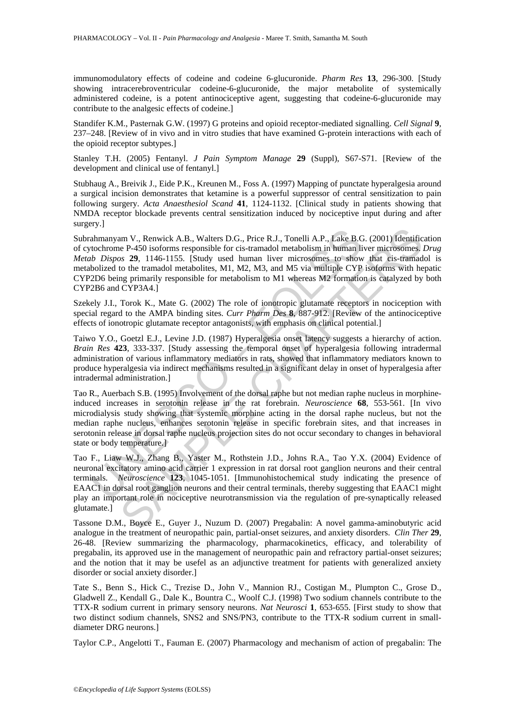immunomodulatory effects of codeine and codeine 6-glucuronide. *Pharm Res* **13**, 296-300. [Study showing intracerebroventricular codeine-6-glucuronide, the major metabolite of systemically administered codeine, is a potent antinociceptive agent, suggesting that codeine-6-glucuronide may contribute to the analgesic effects of codeine.]

Standifer K.M., Pasternak G.W. (1997) G proteins and opioid receptor-mediated signalling. *Cell Signal* **9**, 237–248. [Review of in vivo and in vitro studies that have examined G-protein interactions with each of the opioid receptor subtypes.]

Stanley T.H. (2005) Fentanyl. *J Pain Symptom Manage* **29** (Suppl), S67-S71. [Review of the development and clinical use of fentanyl.]

Stubhaug A., Breivik J., Eide P.K., Kreunen M., Foss A. (1997) Mapping of punctate hyperalgesia around a surgical incision demonstrates that ketamine is a powerful suppressor of central sensitization to pain following surgery. *Acta Anaesthesiol Scand* **41**, 1124-1132. [Clinical study in patients showing that NMDA receptor blockade prevents central sensitization induced by nociceptive input during and after surgery.]

2<br>
ahmanyam V., Renwick A.B., Walters D.G., Price R.J., Tonelli A.P., Lake B.C<br>
tochrome P-450 isoforms responsible for cis-tramadol metabolism in human li<br>
ab Dispos 29, 1146-1155. [Study used human liver microsomes to s am V., Renwick A.B., Walters D.G., Price R.J., Tonelli A.P., Lake B.G. (2001) Identificate P-450 isoforms responsible for cis-tramadol metabolism in human liver microsomes, a 29, 1146-1155. [Study used human liver microsom Subrahmanyam V., Renwick A.B., Walters D.G., Price R.J., Tonelli A.P., Lake B.G. (2001) Identification of cytochrome P-450 isoforms responsible for cis-tramadol metabolism in human liver microsomes. *Drug Metab Dispos* **29**, 1146-1155. [Study used human liver microsomes to show that cis-tramadol is metabolized to the tramadol metabolites, M1, M2, M3, and M5 via multiple CYP isoforms with hepatic CYP2D6 being primarily responsible for metabolism to M1 whereas M2 formation is catalyzed by both CYP2B6 and CYP3A4.]

Szekely J.I., Torok K., Mate G. (2002) The role of ionotropic glutamate receptors in nociception with special regard to the AMPA binding sites. *Curr Pharm Des* **8**, 887-912. [Review of the antinociceptive effects of ionotropic glutamate receptor antagonists, with emphasis on clinical potential.]

Taiwo Y.O., Goetzl E.J., Levine J.D. (1987) Hyperalgesia onset latency suggests a hierarchy of action. *Brain Res* **423**, 333-337. [Study assessing the temporal onset of hyperalgesia following intradermal administration of various inflammatory mediators in rats, showed that inflammatory mediators known to produce hyperalgesia via indirect mechanisms resulted in a significant delay in onset of hyperalgesia after intradermal administration.]

Tao R., Auerbach S.B. (1995) Involvement of the dorsal raphe but not median raphe nucleus in morphineinduced increases in serotonin release in the rat forebrain. *Neuroscience* **68**, 553-561. [In vivo microdialysis study showing that systemic morphine acting in the dorsal raphe nucleus, but not the median raphe nucleus, enhances serotonin release in specific forebrain sites, and that increases in serotonin release in dorsal raphe nucleus projection sites do not occur secondary to changes in behavioral state or body temperature.]

Tao F., Liaw W.J., Zhang B., Yaster M., Rothstein J.D., Johns R.A., Tao Y.X. (2004) Evidence of neuronal excitatory amino acid carrier 1 expression in rat dorsal root ganglion neurons and their central terminals. *Neuroscience* **123**, 1045-1051. [Immunohistochemical study indicating the presence of EAAC1 in dorsal root ganglion neurons and their central terminals, thereby suggesting that EAAC1 might play an important role in nociceptive neurotransmission via the regulation of pre-synaptically released glutamate.]

Tassone D.M., Boyce E., Guyer J., Nuzum D. (2007) Pregabalin: A novel gamma-aminobutyric acid analogue in the treatment of neuropathic pain, partial-onset seizures, and anxiety disorders. *Clin Ther* **29**, 26-48. [Review summarizing the pharmacology, pharmacokinetics, efficacy, and tolerability of pregabalin, its approved use in the management of neuropathic pain and refractory partial-onset seizures; and the notion that it may be usefel as an adjunctive treatment for patients with generalized anxiety disorder or social anxiety disorder.]

Tate S., Benn S., Hick C., Trezise D., John V., Mannion RJ., Costigan M., Plumpton C., Grose D., Gladwell Z., Kendall G., Dale K., Bountra C., Woolf C.J. (1998) Two sodium channels contribute to the TTX-R sodium current in primary sensory neurons. *Nat Neurosci* **1**, 653-655. [First study to show that two distinct sodium channels, SNS2 and SNS/PN3, contribute to the TTX-R sodium current in smalldiameter DRG neurons.]

Taylor C.P., Angelotti T., Fauman E. (2007) Pharmacology and mechanism of action of pregabalin: The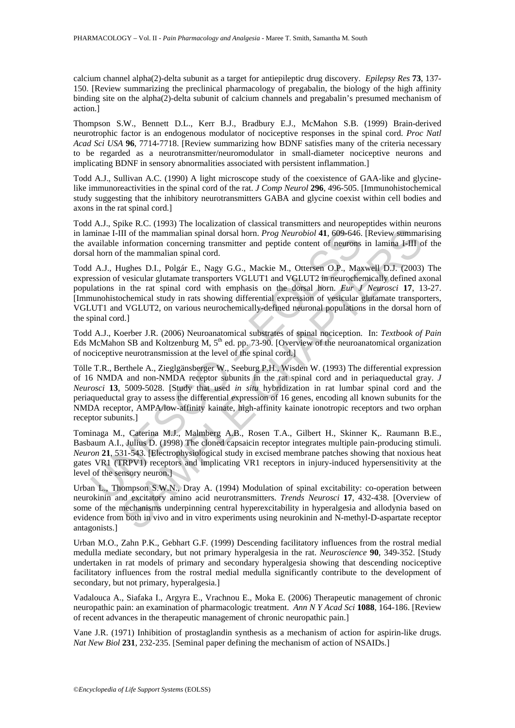calcium channel alpha(2)-delta subunit as a target for antiepileptic drug discovery. *Epilepsy Res* **73**, 137- 150. [Review summarizing the preclinical pharmacology of pregabalin, the biology of the high affinity binding site on the alpha(2)-delta subunit of calcium channels and pregabalin's presumed mechanism of action.]

Thompson S.W., Bennett D.L., Kerr B.J., Bradbury E.J., McMahon S.B. (1999) Brain-derived neurotrophic factor is an endogenous modulator of nociceptive responses in the spinal cord. *Proc Natl Acad Sci USA* **96**, 7714-7718. [Review summarizing how BDNF satisfies many of the criteria necessary to be regarded as a neurotransmitter/neuromodulator in small-diameter nociceptive neurons and implicating BDNF in sensory abnormalities associated with persistent inflammation.]

Todd A.J., Sullivan A.C. (1990) A light microscope study of the coexistence of GAA-like and glycinelike immunoreactivities in the spinal cord of the rat. *J Comp Neurol* **296**, 496-505. [Immunohistochemical study suggesting that the inhibitory neurotransmitters GABA and glycine coexist within cell bodies and axons in the rat spinal cord.]

Todd A.J., Spike R.C. (1993) The localization of classical transmitters and neuropeptides within neurons in laminae I-III of the mammalian spinal dorsal horn. *Prog Neurobiol* **41**, 609-646. [Review summarising the available information concerning transmitter and peptide content of neurons in lamina I-III of the dorsal horn of the mammalian spinal cord.

Todd A.J., Hughes D.I., Polgár E., Nagy G.G., Mackie M., Ottersen O.P., Maxwell D.J. (2003) The expression of vesicular glutamate transporters VGLUT1 and VGLUT2 in neurochemically defined axonal populations in the rat spinal cord with emphasis on the dorsal horn. *Eur J Neurosci* **17**, 13-27. [Immunohistochemical study in rats showing differential expression of vesicular glutamate transporters, VGLUT1 and VGLUT2, on various neurochemically-defined neuronal populations in the dorsal horn of the spinal cord.]

Todd A.J., Koerber J.R. (2006) Neuroanatomical substrates of spinal nociception. In: *Textbook of Pain* Eds McMahon SB and Koltzenburg M, 5<sup>th</sup> ed. pp. 73-90. [Overview of the neuroanatomical organization of nociceptive neurotransmission at the level of the spinal cord.]

minae I-III of the mammalian spinal dorsal horn. *Prog Neurobiol* **41**, 609-646.<br>
waliable information concerning transmitter and peptide content of neurons<br>
al horn of the mammalian spinal cord.<br>
1 A.J., Hughes D.I., Pol III of the mammalian spinal dorsal hom. *Prog Neurobiol* 41, 609-646. [Review summan information concerning transmitter and peptide content of neurons in lamina 14III of the mammalian spinal dorsal hom. *Prog Neurobiol* 4 Tölle T.R., Berthele A., Zieglgänsberger W., Seeburg P.H., Wisden W. (1993) The differential expression of 16 NMDA and non-NMDA receptor subunits in the rat spinal cord and in periaqueductal gray. *J Neurosci* **13**, 5009-5028. [Study that used *in situ* hybridization in rat lumbar spinal cord and the periaqueductal gray to assess the differential expression of 16 genes, encoding all known subunits for the NMDA receptor, AMPA/low-affinity kainate, high-affinity kainate ionotropic receptors and two orphan receptor subunits.]

Tominaga M., Caterina M.J., Malmberg A.B., Rosen T.A., Gilbert H., Skinner K,. Raumann B.E., Basbaum A.I., Julius D. (1998) The cloned capsaicin receptor integrates multiple pain-producing stimuli. *Neuron* **21**, 531-543. [Electrophysiological study in excised membrane patches showing that noxious heat gates VR1 (TRPV1) receptors and implicating VR1 receptors in injury-induced hypersensitivity at the level of the sensory neuron.]

Urban L., Thompson S.W.N., Dray A. (1994) Modulation of spinal excitability: co-operation between neurokinin and excitatory amino acid neurotransmitters. *Trends Neurosci* **17**, 432-438. [Overview of some of the mechanisms underpinning central hyperexcitability in hyperalgesia and allodynia based on evidence from both in vivo and in vitro experiments using neurokinin and N-methyl-D-aspartate receptor antagonists.]

Urban M.O., Zahn P.K., Gebhart G.F. (1999) Descending facilitatory influences from the rostral medial medulla mediate secondary, but not primary hyperalgesia in the rat. *Neuroscience* **90**, 349-352. [Study undertaken in rat models of primary and secondary hyperalgesia showing that descending nociceptive facilitatory influences from the rostral medial medulla significantly contribute to the development of secondary, but not primary, hyperalgesia.]

Vadalouca A., Siafaka I., Argyra E., Vrachnou E., Moka E. (2006) Therapeutic management of chronic neuropathic pain: an examination of pharmacologic treatment. *Ann N Y Acad Sci* **1088**, 164-186. [Review of recent advances in the therapeutic management of chronic neuropathic pain.]

Vane J.R. (1971) Inhibition of prostaglandin synthesis as a mechanism of action for aspirin-like drugs. *Nat New Biol* **231**, 232-235. [Seminal paper defining the mechanism of action of NSAIDs.]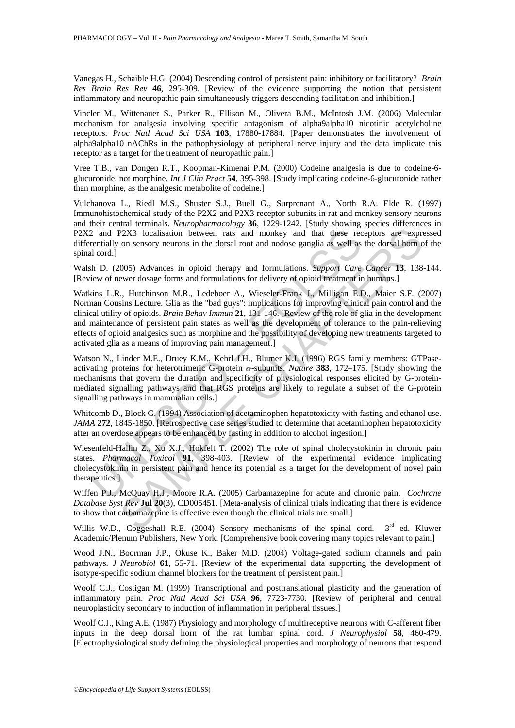Vanegas H., Schaible H.G. (2004) Descending control of persistent pain: inhibitory or facilitatory? *Brain Res Brain Res Rev* **46**, 295-309. [Review of the evidence supporting the notion that persistent inflammatory and neuropathic pain simultaneously triggers descending facilitation and inhibition.]

Vincler M., Wittenauer S., Parker R., Ellison M., Olivera B.M., McIntosh J.M. (2006) Molecular mechanism for analgesia involving specific antagonism of alpha9alpha10 nicotinic acetylcholine receptors. *Proc Natl Acad Sci USA* **103**, 17880-17884. [Paper demonstrates the involvement of alpha9alpha10 nAChRs in the pathophysiology of peripheral nerve injury and the data implicate this receptor as a target for the treatment of neuropathic pain.]

Vree T.B., van Dongen R.T., Koopman-Kimenai P.M. (2000) Codeine analgesia is due to codeine-6 glucuronide, not morphine. *Int J Clin Pract* **54**, 395-398. [Study implicating codeine-6-glucuronide rather than morphine, as the analgesic metabolite of codeine.]

Vulchanova L., Riedl M.S., Shuster S.J., Buell G., Surprenant A., North R.A. Elde R. (1997) Immunohistochemical study of the P2X2 and P2X3 receptor subunits in rat and monkey sensory neurons and their central terminals. *Neuropharmacology* **36**, 1229-1242. [Study showing species differences in P2X2 and P2X3 localisation between rats and monkey and that these receptors are expressed differentially on sensory neurons in the dorsal root and nodose ganglia as well as the dorsal horn of the spinal cord.]

Walsh D. (2005) Advances in opioid therapy and formulations. *Support Care Cancer* **13**, 138-144. [Review of newer dosage forms and formulations for delivery of opioid treatment in humans.]

2 and P2X3 localisation between rats and monkey and that these recentially on sensory neurons in the dorsal root and nodose ganglia as well as il cord.] cord il cord il ord il ord il ord il ord in D. (2005) Advances in op 22X3 localisation between rats and monkey and that these receptors are expronses and monkey and that these receptors are expromenons in the dorsal root and nodose ganglia as well as the dorsal hom comparison y neurons in Watkins L.R., Hutchinson M.R., Ledeboer A., Wieseler-Frank J., Milligan E.D., Maier S.F. (2007) Norman Cousins Lecture. Glia as the "bad guys": implications for improving clinical pain control and the clinical utility of opioids. *Brain Behav Immun* **21**, 131-146. [Review of the role of glia in the development and maintenance of persistent pain states as well as the development of tolerance to the pain-relieving effects of opioid analgesics such as morphine and the possibility of developing new treatments targeted to activated glia as a means of improving pain management.]

Watson N., Linder M.E., Druey K.M., Kehrl J.H., Blumer K.J. (1996) RGS family members: GTPaseactivating proteins for heterotrimeric G-protein a-subunits. *Nature* 383, 172–175. [Study showing the mechanisms that govern the duration and specificity of physiological responses elicited by G-proteinmediated signalling pathways and that RGS proteins are likely to regulate a subset of the G-protein signalling pathways in mammalian cells.]

Whitcomb D., Block G. (1994) Association of acetaminophen hepatotoxicity with fasting and ethanol use. *JAMA* **272**, 1845-1850. [Retrospective case series studied to determine that acetaminophen hepatotoxicity after an overdose appears to be enhanced by fasting in addition to alcohol ingestion.]

Wiesenfeld-Hallin Z., Xu X.J., Hokfelt T. (2002) The role of spinal cholecystokinin in chronic pain states. *Pharmacol Toxicol* **91**, 398-403. [Review of the experimental evidence implicating cholecystokinin in persistent pain and hence its potential as a target for the development of novel pain therapeutics.]

Wiffen P.J., McQuay H.J., Moore R.A. (2005) Carbamazepine for acute and chronic pain. *Cochrane Database Syst Rev* **Jul 20**(3), CD005451. [Meta-analysis of clinical trials indicating that there is evidence to show that carbamazepine is effective even though the clinical trials are small.]

Willis W.D., Coggeshall R.E. (2004) Sensory mechanisms of the spinal cord.  $3<sup>rd</sup>$  ed. Kluwer Academic/Plenum Publishers, New York. [Comprehensive book covering many topics relevant to pain.]

Wood J.N., Boorman J.P., Okuse K., Baker M.D. (2004) Voltage-gated sodium channels and pain pathways. *J Neurobiol* **61**, 55-71. [Review of the experimental data supporting the development of isotype-specific sodium channel blockers for the treatment of persistent pain.]

Woolf C.J., Costigan M. (1999) Transcriptional and posttranslational plasticity and the generation of inflammatory pain. *Proc Natl Acad Sci USA* **96**, 7723-7730. [Review of peripheral and central neuroplasticity secondary to induction of inflammation in peripheral tissues.]

Woolf C.J., King A.E. (1987) Physiology and morphology of multireceptive neurons with C-afferent fiber inputs in the deep dorsal horn of the rat lumbar spinal cord. *J Neurophysiol* **58**, 460-479. [Electrophysiological study defining the physiological properties and morphology of neurons that respond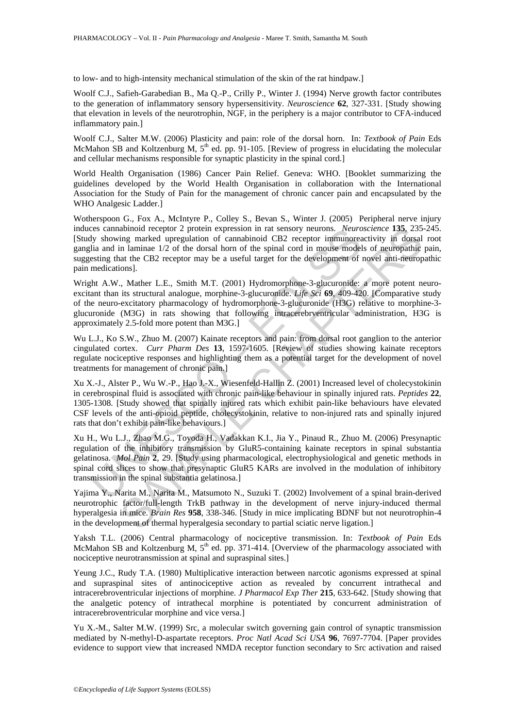to low- and to high-intensity mechanical stimulation of the skin of the rat hindpaw.]

Woolf C.J., Safieh-Garabedian B., Ma Q.-P., Crilly P., Winter J. (1994) Nerve growth factor contributes to the generation of inflammatory sensory hypersensitivity. *Neuroscience* **62**, 327-331. [Study showing that elevation in levels of the neurotrophin, NGF, in the periphery is a major contributor to CFA-induced inflammatory pain.]

Woolf C.J., Salter M.W. (2006) Plasticity and pain: role of the dorsal horn. In: *Textbook of Pain* Eds McMahon SB and Koltzenburg M,  $5<sup>th</sup>$  ed. pp. 91-105. [Review of progress in elucidating the molecular and cellular mechanisms responsible for synaptic plasticity in the spinal cord.]

World Health Organisation (1986) Cancer Pain Relief. Geneva: WHO. [Booklet summarizing the guidelines developed by the World Health Organisation in collaboration with the International Association for the Study of Pain for the management of chronic cancer pain and encapsulated by the WHO Analgesic Ladder.]

Wotherspoon G., Fox A., McIntyre P., Colley S., Bevan S., Winter J. (2005) Peripheral nerve injury induces cannabinoid receptor 2 protein expression in rat sensory neurons. *Neuroscience* **135**, 235-245. [Study showing marked upregulation of cannabinoid CB2 receptor immunoreactivity in dorsal root ganglia and in laminae 1/2 of the dorsal horn of the spinal cord in mouse models of neuropathic pain, suggesting that the CB2 receptor may be a useful target for the development of novel anti-neuropathic pain medications].

Eres cannabinoid receptor 2 protein expression in rat sensory neurons. Neuron<br>is showing marked upregulation of cannabinoid CB2 receptor immunorealia and in laminae 1/2 of the dorsal horn of the spinal cord in mouse model<br> abinoid receptor 2 protein expression in rat sensory neuros. Neuroscience 135, 235 and<br>in mimal end to the dynamic of canabinoid CB2 receptor immunoeactivity in dostal<br>in laminae 1/2 of the dorsal horn of the spiral cord Wright A.W., Mather L.E., Smith M.T. (2001) Hydromorphone-3-glucuronide: a more potent neuroexcitant than its structural analogue, morphine-3-glucuronide. *Life Sci* **69**, 409-420. [Comparative study of the neuro-excitatory pharmacology of hydromorphone-3-glucuronide (H3G) relative to morphine-3 glucuronide (M3G) in rats showing that following intracerebrventricular administration, H3G is approximately 2.5-fold more potent than M3G.]

Wu L.J., Ko S.W., Zhuo M. (2007) Kainate receptors and pain: from dorsal root ganglion to the anterior cingulated cortex. *Curr Pharm Des* **13**, 1597-1605. [Review of studies showing kainate receptors regulate nociceptive responses and highlighting them as a potential target for the development of novel treatments for management of chronic pain.]

Xu X.-J., Alster P., Wu W.-P., Hao J.-X., Wiesenfeld-Hallin Z. (2001) Increased level of cholecystokinin in cerebrospinal fluid is associated with chronic pain-like behaviour in spinally injured rats. *Peptides* **22**, 1305-1308. [Study showed that spinally injured rats which exhibit pain-like behaviours have elevated CSF levels of the anti-opioid peptide, cholecystokinin, relative to non-injured rats and spinally injured rats that don't exhibit pain-like behaviours.]

Xu H., Wu L.J., Zhao M.G., Toyoda H., Vadakkan K.I., Jia Y., Pinaud R., Zhuo M. (2006) Presynaptic regulation of the inhibitory transmission by GluR5-containing kainate receptors in spinal substantia gelatinosa. *Mol Pain* **2**, 29. [Study using pharmacological, electrophysiological and genetic methods in spinal cord slices to show that presynaptic GluR5 KARs are involved in the modulation of inhibitory transmission in the spinal substantia gelatinosa.]

Yajima Y., Narita M., Narita M., Matsumoto N., Suzuki T. (2002) Involvement of a spinal brain-derived neurotrophic factor/full-length TrkB pathway in the development of nerve injury-induced thermal hyperalgesia in mice. *Brain Res* **958**, 338-346. [Study in mice implicating BDNF but not neurotrophin-4 in the development of thermal hyperalgesia secondary to partial sciatic nerve ligation.]

Yaksh T.L. (2006) Central pharmacology of nociceptive transmission. In: *Textbook of Pain* Eds McMahon SB and Koltzenburg M,  $5<sup>th</sup>$  ed. pp. 371-414. [Overview of the pharmacology associated with nociceptive neurotransmission at spinal and supraspinal sites.]

Yeung J.C., Rudy T.A. (1980) Multiplicative interaction between narcotic agonisms expressed at spinal and supraspinal sites of antinociceptive action as revealed by concurrent intrathecal and intracerebroventricular injections of morphine. *J Pharmacol Exp Ther* **215**, 633-642. [Study showing that the analgetic potency of intrathecal morphine is potentiated by concurrent administration of intracerebroventricular morphine and vice versa.]

Yu X.-M., Salter M.W. (1999) Src, a molecular switch governing gain control of synaptic transmission mediated by N-methyl-D-aspartate receptors. *Proc Natl Acad Sci USA* **96**, 7697-7704. [Paper provides evidence to support view that increased NMDA receptor function secondary to Src activation and raised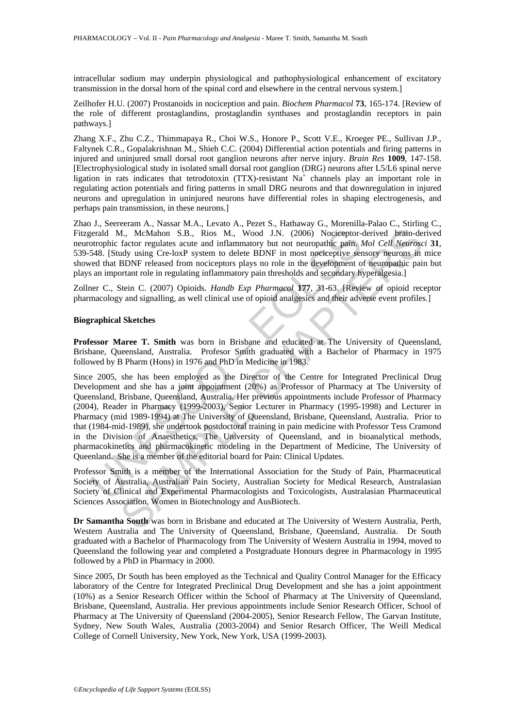intracellular sodium may underpin physiological and pathophysiological enhancement of excitatory transmission in the dorsal horn of the spinal cord and elsewhere in the central nervous system.]

Zeilhofer H.U. (2007) Prostanoids in nociception and pain. *Biochem Pharmacol* **73**, 165-174. [Review of the role of different prostaglandins, prostaglandin synthases and prostaglandin receptors in pain pathways.]

Zhang X.F., Zhu C.Z., Thimmapaya R., Choi W.S., Honore P., Scott V.E., Kroeger PE., Sullivan J.P., Faltynek C.R., Gopalakrishnan M., Shieh C.C. (2004) Differential action potentials and firing patterns in injured and uninjured small dorsal root ganglion neurons after nerve injury. *Brain Res* **1009**, 147-158. [Electrophysiological study in isolated small dorsal root ganglion (DRG) neurons after L5/L6 spinal nerve ligation in rats indicates that tetrodotoxin (TTX)-resistant Na<sup>+</sup> channels play an important role in regulating action potentials and firing patterns in small DRG neurons and that downregulation in injured neurons and upregulation in uninjured neurons have differential roles in shaping electrogenesis, and perhaps pain transmission, in these neurons.]

Zhao J., Seereeram A., Nassar M.A., Levato A., Pezet S., Hathaway G., Morenilla-Palao C., Stirling C., Fitzgerald M., McMahon S.B., Rios M., Wood J.N. (2006) Nociceptor-derived brain-derived neurotrophic factor regulates acute and inflammatory but not neuropathic pain. *Mol Cell Neurosci* **31**, 539-548. [Study using Cre-loxP system to delete BDNF in most nociceptive sensory neurons in mice showed that BDNF released from nociceptors plays no role in the development of neuropathic pain but plays an important role in regulating inflammatory pain thresholds and secondary hyperalgesia.]

Zollner C., Stein C. (2007) Opioids. *Handb Exp Pharmacol* **177**, 31-63. [Review of opioid receptor pharmacology and signalling, as well clinical use of opioid analgesics and their adverse event profiles.]

#### **Biographical Sketches**

**Professor Maree T. Smith** was born in Brisbane and educated at The University of Queensland, Brisbane, Queensland, Australia. Profesor Smith graduated with a Bachelor of Pharmacy in 1975 followed by B Pharm (Hons) in 1976 and PhD in Medicine in 1983.

erald M., McMahon S.B., Rios M., Wood J.N. (2006) Nocieeptor-<br>otrophic factor regulates actue and inflammatory but not neuropahite pain.<br>
548. [Study using Cre-loxP system to delete BDNF in most nocieeptive set<br>
eed that B 4., McMahon S.B., Rios M., Wood J.N. (2006) Nocieeptor-derived brain-defactor regulates actet and inflammatory but not neuropathic paint. *McC* Movem And Cell Neuroves in the factor regulates acte and inflammatory but not Since 2005, she has been employed as the Director of the Centre for Integrated Preclinical Drug Development and she has a joint appointment (20%) as Professor of Pharmacy at The University of Queensland, Brisbane, Queensland, Australia. Her previous appointments include Professor of Pharmacy (2004), Reader in Pharmacy (1999-2003), Senior Lecturer in Pharmacy (1995-1998) and Lecturer in Pharmacy (mid 1989-1994) at The University of Queensland, Brisbane, Queensland, Australia. Prior to that (1984-mid-1989), she undertook postdoctoral training in pain medicine with Professor Tess Cramond in the Division of Anaesthetics, The University of Queensland, and in bioanalytical methods, pharmacokinetics and pharmacokinetic modeling in the Department of Medicine, The University of Queenland. She is a member of the editorial board for Pain: Clinical Updates.

Professor Smith is a member of the International Association for the Study of Pain, Pharmaceutical Society of Australia, Australian Pain Society, Australian Society for Medical Research, Australasian Society of Clinical and Experimental Pharmacologists and Toxicologists, Australasian Pharmaceutical Sciences Association, Women in Biotechnology and AusBiotech.

**Dr Samantha South** was born in Brisbane and educated at The University of Western Australia, Perth, Western Australia and The University of Queensland, Brisbane, Queensland, Australia. Dr South graduated with a Bachelor of Pharmacology from The University of Western Australia in 1994, moved to Queensland the following year and completed a Postgraduate Honours degree in Pharmacology in 1995 followed by a PhD in Pharmacy in 2000.

Since 2005, Dr South has been employed as the Technical and Quality Control Manager for the Efficacy laboratory of the Centre for Integrated Preclinical Drug Development and she has a joint appointment (10%) as a Senior Research Officer within the School of Pharmacy at The University of Queensland, Brisbane, Queensland, Australia. Her previous appointments include Senior Research Officer, School of Pharmacy at The University of Queensland (2004-2005), Senior Research Fellow, The Garvan Institute, Sydney, New South Wales, Australia (2003-2004) and Senior Resarch Officer, The Weill Medical College of Cornell University, New York, New York, USA (1999-2003).